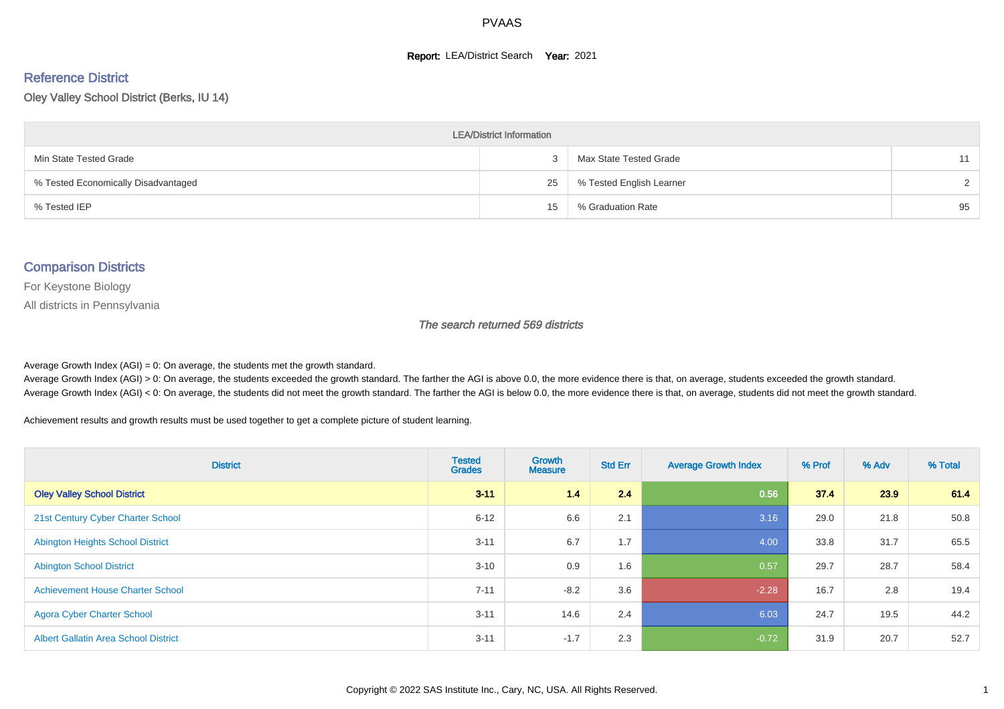#### **Report: LEA/District Search Year: 2021**

# Reference District

Oley Valley School District (Berks, IU 14)

| <b>LEA/District Information</b>     |    |                          |               |  |  |  |  |  |  |
|-------------------------------------|----|--------------------------|---------------|--|--|--|--|--|--|
| Min State Tested Grade              |    | Max State Tested Grade   | 11            |  |  |  |  |  |  |
| % Tested Economically Disadvantaged | 25 | % Tested English Learner | $\mathcal{D}$ |  |  |  |  |  |  |
| % Tested IEP                        | 15 | % Graduation Rate        | 95            |  |  |  |  |  |  |

#### Comparison Districts

For Keystone Biology

All districts in Pennsylvania

The search returned 569 districts

Average Growth Index  $(AGI) = 0$ : On average, the students met the growth standard.

Average Growth Index (AGI) > 0: On average, the students exceeded the growth standard. The farther the AGI is above 0.0, the more evidence there is that, on average, students exceeded the growth standard. Average Growth Index (AGI) < 0: On average, the students did not meet the growth standard. The farther the AGI is below 0.0, the more evidence there is that, on average, students did not meet the growth standard.

Achievement results and growth results must be used together to get a complete picture of student learning.

| <b>District</b>                             | <b>Tested</b><br><b>Grades</b> | <b>Growth</b><br><b>Measure</b> | <b>Std Err</b> | <b>Average Growth Index</b> | % Prof | % Adv | % Total |
|---------------------------------------------|--------------------------------|---------------------------------|----------------|-----------------------------|--------|-------|---------|
| <b>Oley Valley School District</b>          | $3 - 11$                       | 1.4                             | 2.4            | 0.56                        | 37.4   | 23.9  | 61.4    |
| 21st Century Cyber Charter School           | $6 - 12$                       | 6.6                             | 2.1            | 3.16                        | 29.0   | 21.8  | 50.8    |
| <b>Abington Heights School District</b>     | $3 - 11$                       | 6.7                             | 1.7            | 4.00                        | 33.8   | 31.7  | 65.5    |
| <b>Abington School District</b>             | $3 - 10$                       | 0.9                             | 1.6            | 0.57                        | 29.7   | 28.7  | 58.4    |
| <b>Achievement House Charter School</b>     | $7 - 11$                       | $-8.2$                          | 3.6            | $-2.28$                     | 16.7   | 2.8   | 19.4    |
| <b>Agora Cyber Charter School</b>           | $3 - 11$                       | 14.6                            | 2.4            | 6.03                        | 24.7   | 19.5  | 44.2    |
| <b>Albert Gallatin Area School District</b> | $3 - 11$                       | $-1.7$                          | 2.3            | $-0.72$                     | 31.9   | 20.7  | 52.7    |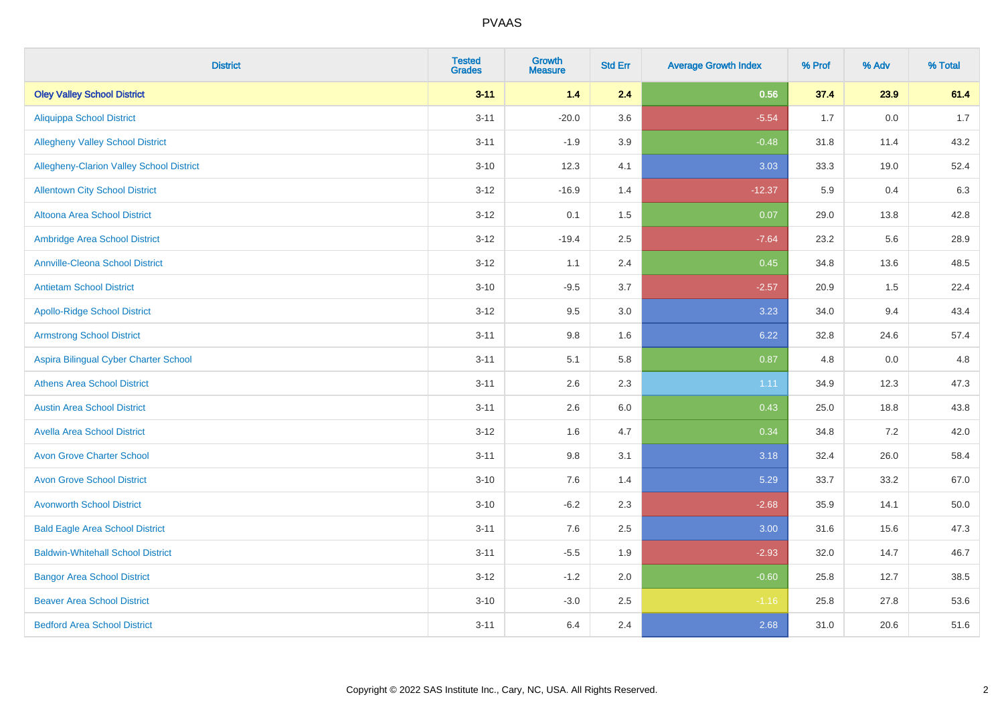| <b>District</b>                                 | <b>Tested</b><br><b>Grades</b> | Growth<br><b>Measure</b> | <b>Std Err</b> | <b>Average Growth Index</b> | % Prof | % Adv   | % Total |
|-------------------------------------------------|--------------------------------|--------------------------|----------------|-----------------------------|--------|---------|---------|
| <b>Oley Valley School District</b>              | $3 - 11$                       | 1.4                      | 2.4            | 0.56                        | 37.4   | 23.9    | 61.4    |
| <b>Aliquippa School District</b>                | $3 - 11$                       | $-20.0$                  | 3.6            | $-5.54$                     | 1.7    | $0.0\,$ | 1.7     |
| <b>Allegheny Valley School District</b>         | $3 - 11$                       | $-1.9$                   | 3.9            | $-0.48$                     | 31.8   | 11.4    | 43.2    |
| <b>Allegheny-Clarion Valley School District</b> | $3 - 10$                       | 12.3                     | 4.1            | 3.03                        | 33.3   | 19.0    | 52.4    |
| <b>Allentown City School District</b>           | $3 - 12$                       | $-16.9$                  | 1.4            | $-12.37$                    | 5.9    | 0.4     | 6.3     |
| Altoona Area School District                    | $3 - 12$                       | 0.1                      | 1.5            | 0.07                        | 29.0   | 13.8    | 42.8    |
| Ambridge Area School District                   | $3 - 12$                       | $-19.4$                  | 2.5            | $-7.64$                     | 23.2   | 5.6     | 28.9    |
| <b>Annville-Cleona School District</b>          | $3 - 12$                       | 1.1                      | 2.4            | 0.45                        | 34.8   | 13.6    | 48.5    |
| <b>Antietam School District</b>                 | $3 - 10$                       | $-9.5$                   | 3.7            | $-2.57$                     | 20.9   | 1.5     | 22.4    |
| <b>Apollo-Ridge School District</b>             | $3-12$                         | 9.5                      | 3.0            | 3.23                        | 34.0   | 9.4     | 43.4    |
| <b>Armstrong School District</b>                | $3 - 11$                       | 9.8                      | 1.6            | 6.22                        | 32.8   | 24.6    | 57.4    |
| Aspira Bilingual Cyber Charter School           | $3 - 11$                       | 5.1                      | 5.8            | 0.87                        | 4.8    | 0.0     | 4.8     |
| <b>Athens Area School District</b>              | $3 - 11$                       | 2.6                      | 2.3            | 1.11                        | 34.9   | 12.3    | 47.3    |
| <b>Austin Area School District</b>              | $3 - 11$                       | 2.6                      | 6.0            | 0.43                        | 25.0   | 18.8    | 43.8    |
| <b>Avella Area School District</b>              | $3 - 12$                       | 1.6                      | 4.7            | 0.34                        | 34.8   | 7.2     | 42.0    |
| <b>Avon Grove Charter School</b>                | $3 - 11$                       | 9.8                      | 3.1            | 3.18                        | 32.4   | 26.0    | 58.4    |
| <b>Avon Grove School District</b>               | $3 - 10$                       | 7.6                      | 1.4            | 5.29                        | 33.7   | 33.2    | 67.0    |
| <b>Avonworth School District</b>                | $3 - 10$                       | $-6.2$                   | 2.3            | $-2.68$                     | 35.9   | 14.1    | 50.0    |
| <b>Bald Eagle Area School District</b>          | $3 - 11$                       | 7.6                      | 2.5            | 3.00                        | 31.6   | 15.6    | 47.3    |
| <b>Baldwin-Whitehall School District</b>        | $3 - 11$                       | $-5.5$                   | 1.9            | $-2.93$                     | 32.0   | 14.7    | 46.7    |
| <b>Bangor Area School District</b>              | $3 - 12$                       | $-1.2$                   | 2.0            | $-0.60$                     | 25.8   | 12.7    | 38.5    |
| <b>Beaver Area School District</b>              | $3 - 10$                       | $-3.0$                   | 2.5            | $-1.16$                     | 25.8   | 27.8    | 53.6    |
| <b>Bedford Area School District</b>             | $3 - 11$                       | 6.4                      | 2.4            | 2.68                        | 31.0   | 20.6    | 51.6    |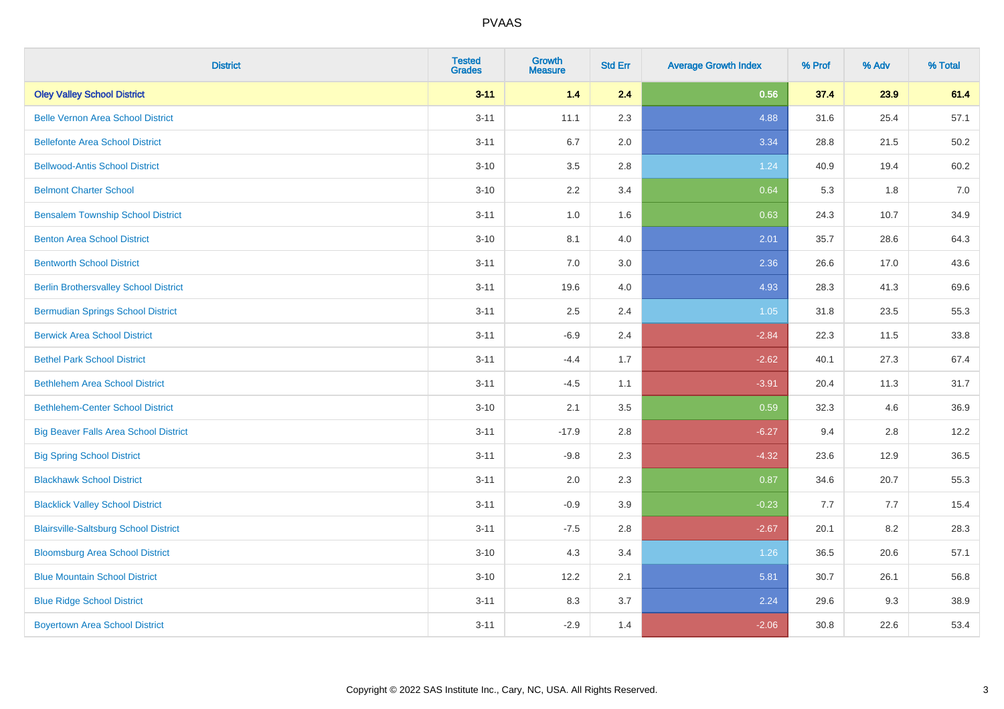| <b>District</b>                              | <b>Tested</b><br><b>Grades</b> | <b>Growth</b><br><b>Measure</b> | <b>Std Err</b> | <b>Average Growth Index</b> | % Prof | % Adv | % Total |
|----------------------------------------------|--------------------------------|---------------------------------|----------------|-----------------------------|--------|-------|---------|
| <b>Oley Valley School District</b>           | $3 - 11$                       | 1.4                             | 2.4            | 0.56                        | 37.4   | 23.9  | 61.4    |
| <b>Belle Vernon Area School District</b>     | $3 - 11$                       | 11.1                            | 2.3            | 4.88                        | 31.6   | 25.4  | 57.1    |
| <b>Bellefonte Area School District</b>       | $3 - 11$                       | 6.7                             | 2.0            | 3.34                        | 28.8   | 21.5  | 50.2    |
| <b>Bellwood-Antis School District</b>        | $3 - 10$                       | 3.5                             | 2.8            | 1.24                        | 40.9   | 19.4  | 60.2    |
| <b>Belmont Charter School</b>                | $3 - 10$                       | 2.2                             | 3.4            | 0.64                        | 5.3    | 1.8   | 7.0     |
| <b>Bensalem Township School District</b>     | $3 - 11$                       | $1.0\,$                         | 1.6            | 0.63                        | 24.3   | 10.7  | 34.9    |
| <b>Benton Area School District</b>           | $3 - 10$                       | 8.1                             | 4.0            | 2.01                        | 35.7   | 28.6  | 64.3    |
| <b>Bentworth School District</b>             | $3 - 11$                       | 7.0                             | 3.0            | 2.36                        | 26.6   | 17.0  | 43.6    |
| <b>Berlin Brothersvalley School District</b> | $3 - 11$                       | 19.6                            | 4.0            | 4.93                        | 28.3   | 41.3  | 69.6    |
| <b>Bermudian Springs School District</b>     | $3 - 11$                       | 2.5                             | 2.4            | 1.05                        | 31.8   | 23.5  | 55.3    |
| <b>Berwick Area School District</b>          | $3 - 11$                       | $-6.9$                          | 2.4            | $-2.84$                     | 22.3   | 11.5  | 33.8    |
| <b>Bethel Park School District</b>           | $3 - 11$                       | $-4.4$                          | 1.7            | $-2.62$                     | 40.1   | 27.3  | 67.4    |
| <b>Bethlehem Area School District</b>        | $3 - 11$                       | $-4.5$                          | 1.1            | $-3.91$                     | 20.4   | 11.3  | 31.7    |
| <b>Bethlehem-Center School District</b>      | $3 - 10$                       | 2.1                             | 3.5            | 0.59                        | 32.3   | 4.6   | 36.9    |
| <b>Big Beaver Falls Area School District</b> | $3 - 11$                       | $-17.9$                         | 2.8            | $-6.27$                     | 9.4    | 2.8   | 12.2    |
| <b>Big Spring School District</b>            | $3 - 11$                       | $-9.8$                          | 2.3            | $-4.32$                     | 23.6   | 12.9  | 36.5    |
| <b>Blackhawk School District</b>             | $3 - 11$                       | 2.0                             | 2.3            | 0.87                        | 34.6   | 20.7  | 55.3    |
| <b>Blacklick Valley School District</b>      | $3 - 11$                       | $-0.9$                          | 3.9            | $-0.23$                     | 7.7    | 7.7   | 15.4    |
| <b>Blairsville-Saltsburg School District</b> | $3 - 11$                       | $-7.5$                          | 2.8            | $-2.67$                     | 20.1   | 8.2   | 28.3    |
| <b>Bloomsburg Area School District</b>       | $3 - 10$                       | 4.3                             | 3.4            | 1.26                        | 36.5   | 20.6  | 57.1    |
| <b>Blue Mountain School District</b>         | $3 - 10$                       | 12.2                            | 2.1            | 5.81                        | 30.7   | 26.1  | 56.8    |
| <b>Blue Ridge School District</b>            | $3 - 11$                       | 8.3                             | 3.7            | 2.24                        | 29.6   | 9.3   | 38.9    |
| <b>Boyertown Area School District</b>        | $3 - 11$                       | $-2.9$                          | 1.4            | $-2.06$                     | 30.8   | 22.6  | 53.4    |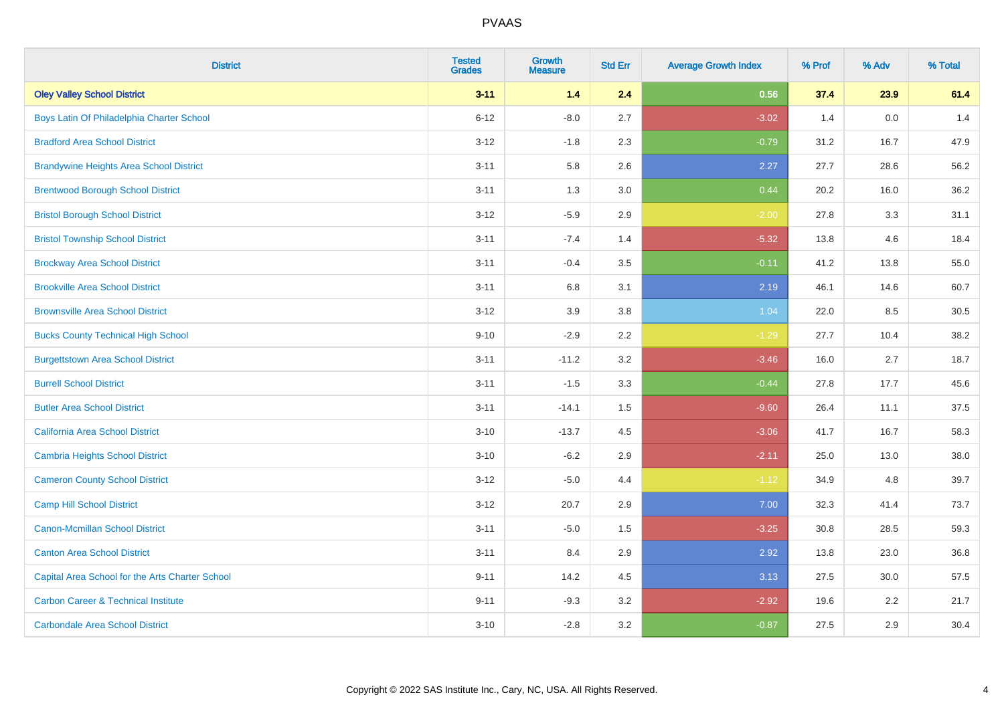| <b>District</b>                                 | <b>Tested</b><br><b>Grades</b> | <b>Growth</b><br><b>Measure</b> | <b>Std Err</b> | <b>Average Growth Index</b> | % Prof | % Adv | % Total |
|-------------------------------------------------|--------------------------------|---------------------------------|----------------|-----------------------------|--------|-------|---------|
| <b>Oley Valley School District</b>              | $3 - 11$                       | 1.4                             | 2.4            | 0.56                        | 37.4   | 23.9  | 61.4    |
| Boys Latin Of Philadelphia Charter School       | $6 - 12$                       | $-8.0$                          | 2.7            | $-3.02$                     | 1.4    | 0.0   | 1.4     |
| <b>Bradford Area School District</b>            | $3 - 12$                       | $-1.8$                          | 2.3            | $-0.79$                     | 31.2   | 16.7  | 47.9    |
| <b>Brandywine Heights Area School District</b>  | $3 - 11$                       | 5.8                             | 2.6            | 2.27                        | 27.7   | 28.6  | 56.2    |
| <b>Brentwood Borough School District</b>        | $3 - 11$                       | 1.3                             | 3.0            | 0.44                        | 20.2   | 16.0  | 36.2    |
| <b>Bristol Borough School District</b>          | $3 - 12$                       | $-5.9$                          | 2.9            | $-2.00$                     | 27.8   | 3.3   | 31.1    |
| <b>Bristol Township School District</b>         | $3 - 11$                       | $-7.4$                          | 1.4            | $-5.32$                     | 13.8   | 4.6   | 18.4    |
| <b>Brockway Area School District</b>            | $3 - 11$                       | $-0.4$                          | 3.5            | $-0.11$                     | 41.2   | 13.8  | 55.0    |
| <b>Brookville Area School District</b>          | $3 - 11$                       | 6.8                             | 3.1            | 2.19                        | 46.1   | 14.6  | 60.7    |
| <b>Brownsville Area School District</b>         | $3 - 12$                       | 3.9                             | 3.8            | 1.04                        | 22.0   | 8.5   | 30.5    |
| <b>Bucks County Technical High School</b>       | $9 - 10$                       | $-2.9$                          | 2.2            | $-1.29$                     | 27.7   | 10.4  | 38.2    |
| <b>Burgettstown Area School District</b>        | $3 - 11$                       | $-11.2$                         | 3.2            | $-3.46$                     | 16.0   | 2.7   | 18.7    |
| <b>Burrell School District</b>                  | $3 - 11$                       | $-1.5$                          | 3.3            | $-0.44$                     | 27.8   | 17.7  | 45.6    |
| <b>Butler Area School District</b>              | $3 - 11$                       | $-14.1$                         | 1.5            | $-9.60$                     | 26.4   | 11.1  | 37.5    |
| California Area School District                 | $3 - 10$                       | $-13.7$                         | 4.5            | $-3.06$                     | 41.7   | 16.7  | 58.3    |
| <b>Cambria Heights School District</b>          | $3 - 10$                       | $-6.2$                          | 2.9            | $-2.11$                     | 25.0   | 13.0  | 38.0    |
| <b>Cameron County School District</b>           | $3 - 12$                       | $-5.0$                          | 4.4            | $-1.12$                     | 34.9   | 4.8   | 39.7    |
| <b>Camp Hill School District</b>                | $3 - 12$                       | 20.7                            | 2.9            | 7.00                        | 32.3   | 41.4  | 73.7    |
| <b>Canon-Mcmillan School District</b>           | $3 - 11$                       | $-5.0$                          | 1.5            | $-3.25$                     | 30.8   | 28.5  | 59.3    |
| <b>Canton Area School District</b>              | $3 - 11$                       | 8.4                             | 2.9            | 2.92                        | 13.8   | 23.0  | 36.8    |
| Capital Area School for the Arts Charter School | $9 - 11$                       | 14.2                            | 4.5            | 3.13                        | 27.5   | 30.0  | 57.5    |
| <b>Carbon Career &amp; Technical Institute</b>  | $9 - 11$                       | $-9.3$                          | 3.2            | $-2.92$                     | 19.6   | 2.2   | 21.7    |
| <b>Carbondale Area School District</b>          | $3 - 10$                       | $-2.8$                          | 3.2            | $-0.87$                     | 27.5   | 2.9   | 30.4    |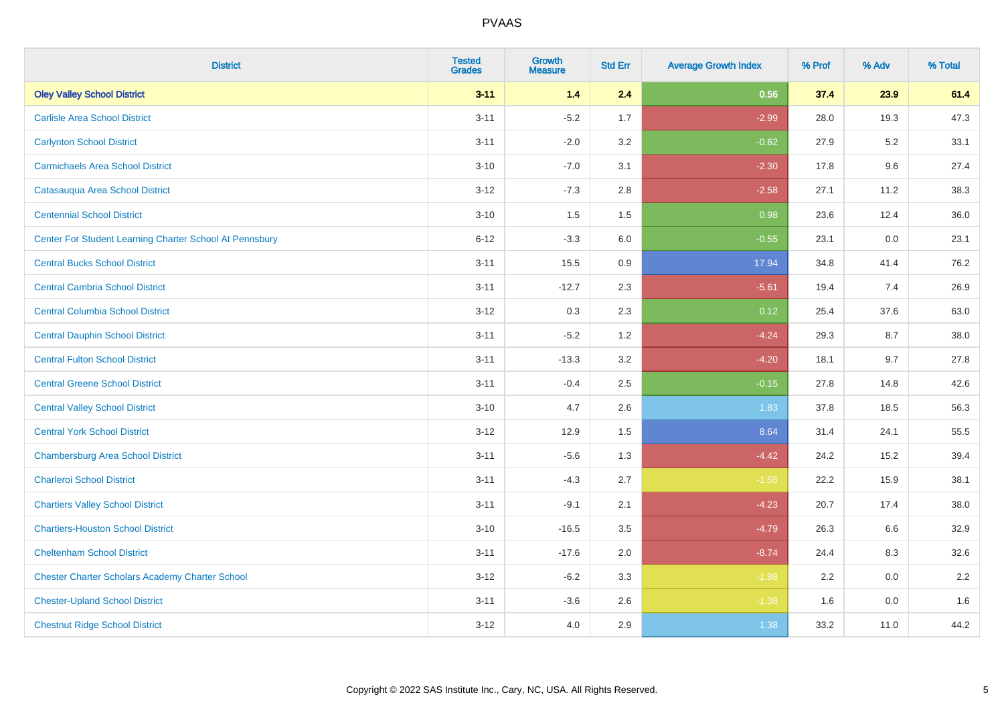| <b>District</b>                                         | <b>Tested</b><br><b>Grades</b> | <b>Growth</b><br><b>Measure</b> | <b>Std Err</b> | <b>Average Growth Index</b> | % Prof | % Adv | % Total |
|---------------------------------------------------------|--------------------------------|---------------------------------|----------------|-----------------------------|--------|-------|---------|
| <b>Oley Valley School District</b>                      | $3 - 11$                       | 1.4                             | 2.4            | 0.56                        | 37.4   | 23.9  | 61.4    |
| <b>Carlisle Area School District</b>                    | $3 - 11$                       | $-5.2$                          | 1.7            | $-2.99$                     | 28.0   | 19.3  | 47.3    |
| <b>Carlynton School District</b>                        | $3 - 11$                       | $-2.0$                          | 3.2            | $-0.62$                     | 27.9   | 5.2   | 33.1    |
| <b>Carmichaels Area School District</b>                 | $3 - 10$                       | $-7.0$                          | 3.1            | $-2.30$                     | 17.8   | 9.6   | 27.4    |
| Catasauqua Area School District                         | $3 - 12$                       | $-7.3$                          | 2.8            | $-2.58$                     | 27.1   | 11.2  | 38.3    |
| <b>Centennial School District</b>                       | $3 - 10$                       | 1.5                             | 1.5            | 0.98                        | 23.6   | 12.4  | 36.0    |
| Center For Student Learning Charter School At Pennsbury | $6 - 12$                       | $-3.3$                          | 6.0            | $-0.55$                     | 23.1   | 0.0   | 23.1    |
| <b>Central Bucks School District</b>                    | $3 - 11$                       | 15.5                            | 0.9            | 17.94                       | 34.8   | 41.4  | 76.2    |
| <b>Central Cambria School District</b>                  | $3 - 11$                       | $-12.7$                         | 2.3            | $-5.61$                     | 19.4   | 7.4   | 26.9    |
| <b>Central Columbia School District</b>                 | $3 - 12$                       | $0.3\,$                         | 2.3            | 0.12                        | 25.4   | 37.6  | 63.0    |
| <b>Central Dauphin School District</b>                  | $3 - 11$                       | $-5.2$                          | 1.2            | $-4.24$                     | 29.3   | 8.7   | 38.0    |
| <b>Central Fulton School District</b>                   | $3 - 11$                       | $-13.3$                         | 3.2            | $-4.20$                     | 18.1   | 9.7   | 27.8    |
| <b>Central Greene School District</b>                   | $3 - 11$                       | $-0.4$                          | 2.5            | $-0.15$                     | 27.8   | 14.8  | 42.6    |
| <b>Central Valley School District</b>                   | $3 - 10$                       | 4.7                             | 2.6            | 1.83                        | 37.8   | 18.5  | 56.3    |
| <b>Central York School District</b>                     | $3 - 12$                       | 12.9                            | 1.5            | 8.64                        | 31.4   | 24.1  | 55.5    |
| <b>Chambersburg Area School District</b>                | $3 - 11$                       | $-5.6$                          | 1.3            | $-4.42$                     | 24.2   | 15.2  | 39.4    |
| <b>Charleroi School District</b>                        | $3 - 11$                       | $-4.3$                          | 2.7            | $-1.55$                     | 22.2   | 15.9  | 38.1    |
| <b>Chartiers Valley School District</b>                 | $3 - 11$                       | $-9.1$                          | 2.1            | $-4.23$                     | 20.7   | 17.4  | 38.0    |
| <b>Chartiers-Houston School District</b>                | $3 - 10$                       | $-16.5$                         | 3.5            | $-4.79$                     | 26.3   | 6.6   | 32.9    |
| <b>Cheltenham School District</b>                       | $3 - 11$                       | $-17.6$                         | 2.0            | $-8.74$                     | 24.4   | 8.3   | 32.6    |
| <b>Chester Charter Scholars Academy Charter School</b>  | $3 - 12$                       | $-6.2$                          | 3.3            | $-1.88$                     | 2.2    | 0.0   | 2.2     |
| <b>Chester-Upland School District</b>                   | $3 - 11$                       | $-3.6$                          | 2.6            | $-1.38$                     | 1.6    | 0.0   | 1.6     |
| <b>Chestnut Ridge School District</b>                   | $3 - 12$                       | 4.0                             | 2.9            | 1.38                        | 33.2   | 11.0  | 44.2    |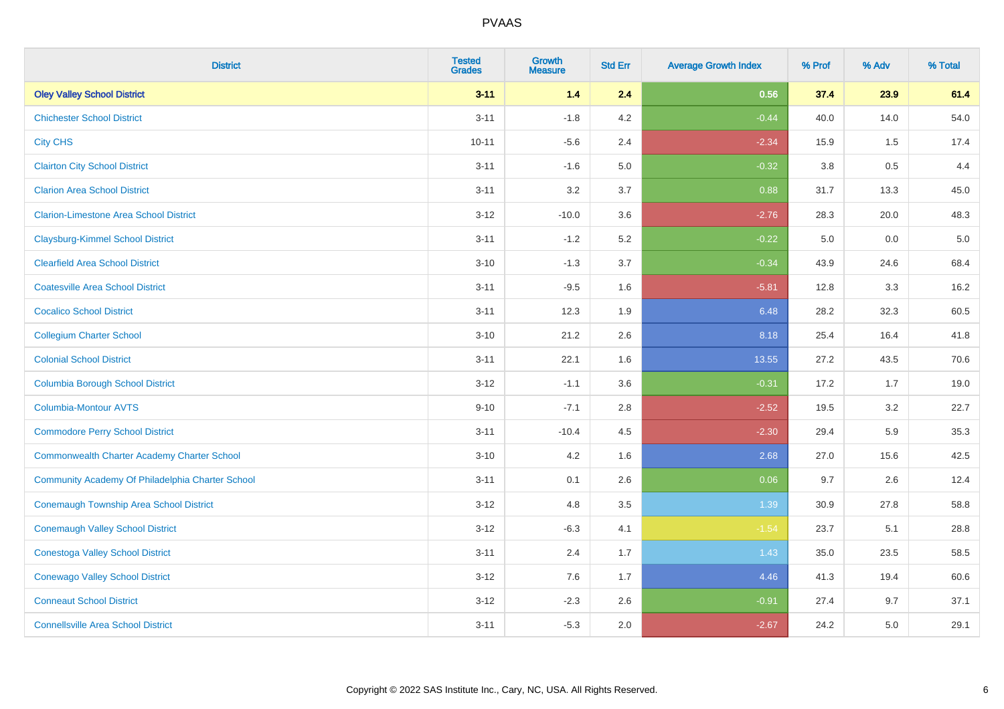| <b>District</b>                                    | <b>Tested</b><br><b>Grades</b> | Growth<br><b>Measure</b> | <b>Std Err</b> | <b>Average Growth Index</b> | % Prof | % Adv | % Total |
|----------------------------------------------------|--------------------------------|--------------------------|----------------|-----------------------------|--------|-------|---------|
| <b>Oley Valley School District</b>                 | $3 - 11$                       | 1.4                      | 2.4            | 0.56                        | 37.4   | 23.9  | 61.4    |
| <b>Chichester School District</b>                  | $3 - 11$                       | $-1.8$                   | 4.2            | $-0.44$                     | 40.0   | 14.0  | 54.0    |
| <b>City CHS</b>                                    | $10 - 11$                      | $-5.6$                   | 2.4            | $-2.34$                     | 15.9   | 1.5   | 17.4    |
| <b>Clairton City School District</b>               | $3 - 11$                       | $-1.6$                   | 5.0            | $-0.32$                     | 3.8    | 0.5   | 4.4     |
| <b>Clarion Area School District</b>                | $3 - 11$                       | 3.2                      | 3.7            | 0.88                        | 31.7   | 13.3  | 45.0    |
| <b>Clarion-Limestone Area School District</b>      | $3 - 12$                       | $-10.0$                  | 3.6            | $-2.76$                     | 28.3   | 20.0  | 48.3    |
| <b>Claysburg-Kimmel School District</b>            | $3 - 11$                       | $-1.2$                   | 5.2            | $-0.22$                     | 5.0    | 0.0   | 5.0     |
| <b>Clearfield Area School District</b>             | $3 - 10$                       | $-1.3$                   | 3.7            | $-0.34$                     | 43.9   | 24.6  | 68.4    |
| <b>Coatesville Area School District</b>            | $3 - 11$                       | $-9.5$                   | 1.6            | $-5.81$                     | 12.8   | 3.3   | 16.2    |
| <b>Cocalico School District</b>                    | $3 - 11$                       | 12.3                     | 1.9            | 6.48                        | 28.2   | 32.3  | 60.5    |
| <b>Collegium Charter School</b>                    | $3 - 10$                       | 21.2                     | 2.6            | 8.18                        | 25.4   | 16.4  | 41.8    |
| <b>Colonial School District</b>                    | $3 - 11$                       | 22.1                     | 1.6            | 13.55                       | 27.2   | 43.5  | 70.6    |
| <b>Columbia Borough School District</b>            | $3 - 12$                       | $-1.1$                   | 3.6            | $-0.31$                     | 17.2   | 1.7   | 19.0    |
| Columbia-Montour AVTS                              | $9 - 10$                       | $-7.1$                   | 2.8            | $-2.52$                     | 19.5   | 3.2   | 22.7    |
| <b>Commodore Perry School District</b>             | $3 - 11$                       | $-10.4$                  | 4.5            | $-2.30$                     | 29.4   | 5.9   | 35.3    |
| <b>Commonwealth Charter Academy Charter School</b> | $3 - 10$                       | 4.2                      | 1.6            | 2.68                        | 27.0   | 15.6  | 42.5    |
| Community Academy Of Philadelphia Charter School   | $3 - 11$                       | 0.1                      | 2.6            | 0.06                        | 9.7    | 2.6   | 12.4    |
| <b>Conemaugh Township Area School District</b>     | $3 - 12$                       | 4.8                      | 3.5            | 1.39                        | 30.9   | 27.8  | 58.8    |
| <b>Conemaugh Valley School District</b>            | $3 - 12$                       | $-6.3$                   | 4.1            | $-1.54$                     | 23.7   | 5.1   | 28.8    |
| <b>Conestoga Valley School District</b>            | $3 - 11$                       | 2.4                      | 1.7            | 1.43                        | 35.0   | 23.5  | 58.5    |
| <b>Conewago Valley School District</b>             | $3 - 12$                       | 7.6                      | 1.7            | 4.46                        | 41.3   | 19.4  | 60.6    |
| <b>Conneaut School District</b>                    | $3 - 12$                       | $-2.3$                   | 2.6            | $-0.91$                     | 27.4   | 9.7   | 37.1    |
| <b>Connellsville Area School District</b>          | $3 - 11$                       | $-5.3$                   | 2.0            | $-2.67$                     | 24.2   | 5.0   | 29.1    |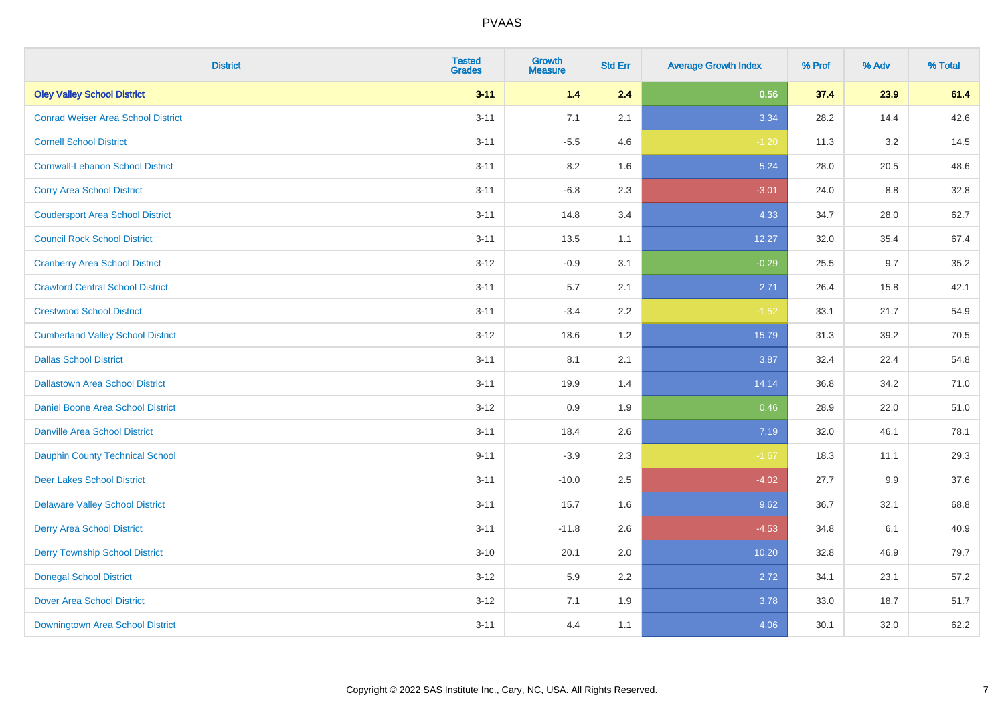| <b>District</b>                           | <b>Tested</b><br><b>Grades</b> | Growth<br><b>Measure</b> | <b>Std Err</b> | <b>Average Growth Index</b> | % Prof | % Adv | % Total |
|-------------------------------------------|--------------------------------|--------------------------|----------------|-----------------------------|--------|-------|---------|
| <b>Oley Valley School District</b>        | $3 - 11$                       | 1.4                      | 2.4            | 0.56                        | 37.4   | 23.9  | 61.4    |
| <b>Conrad Weiser Area School District</b> | $3 - 11$                       | 7.1                      | 2.1            | 3.34                        | 28.2   | 14.4  | 42.6    |
| <b>Cornell School District</b>            | $3 - 11$                       | $-5.5$                   | 4.6            | $-1.20$                     | 11.3   | 3.2   | 14.5    |
| <b>Cornwall-Lebanon School District</b>   | $3 - 11$                       | $8.2\,$                  | 1.6            | 5.24                        | 28.0   | 20.5  | 48.6    |
| <b>Corry Area School District</b>         | $3 - 11$                       | $-6.8$                   | 2.3            | $-3.01$                     | 24.0   | 8.8   | 32.8    |
| <b>Coudersport Area School District</b>   | $3 - 11$                       | 14.8                     | 3.4            | 4.33                        | 34.7   | 28.0  | 62.7    |
| <b>Council Rock School District</b>       | $3 - 11$                       | 13.5                     | 1.1            | 12.27                       | 32.0   | 35.4  | 67.4    |
| <b>Cranberry Area School District</b>     | $3 - 12$                       | $-0.9$                   | 3.1            | $-0.29$                     | 25.5   | 9.7   | 35.2    |
| <b>Crawford Central School District</b>   | $3 - 11$                       | 5.7                      | 2.1            | 2.71                        | 26.4   | 15.8  | 42.1    |
| <b>Crestwood School District</b>          | $3 - 11$                       | $-3.4$                   | $2.2\,$        | $-1.52$                     | 33.1   | 21.7  | 54.9    |
| <b>Cumberland Valley School District</b>  | $3-12$                         | 18.6                     | 1.2            | 15.79                       | 31.3   | 39.2  | 70.5    |
| <b>Dallas School District</b>             | $3 - 11$                       | 8.1                      | 2.1            | 3.87                        | 32.4   | 22.4  | 54.8    |
| <b>Dallastown Area School District</b>    | $3 - 11$                       | 19.9                     | 1.4            | 14.14                       | 36.8   | 34.2  | 71.0    |
| Daniel Boone Area School District         | $3-12$                         | 0.9                      | 1.9            | 0.46                        | 28.9   | 22.0  | 51.0    |
| <b>Danville Area School District</b>      | $3 - 11$                       | 18.4                     | 2.6            | 7.19                        | 32.0   | 46.1  | 78.1    |
| <b>Dauphin County Technical School</b>    | $9 - 11$                       | $-3.9$                   | 2.3            | $-1.67$                     | 18.3   | 11.1  | 29.3    |
| <b>Deer Lakes School District</b>         | $3 - 11$                       | $-10.0$                  | 2.5            | $-4.02$                     | 27.7   | 9.9   | 37.6    |
| <b>Delaware Valley School District</b>    | $3 - 11$                       | 15.7                     | 1.6            | 9.62                        | 36.7   | 32.1  | 68.8    |
| <b>Derry Area School District</b>         | $3 - 11$                       | $-11.8$                  | 2.6            | $-4.53$                     | 34.8   | 6.1   | 40.9    |
| <b>Derry Township School District</b>     | $3 - 10$                       | 20.1                     | 2.0            | 10.20                       | 32.8   | 46.9  | 79.7    |
| <b>Donegal School District</b>            | $3 - 12$                       | 5.9                      | 2.2            | 2.72                        | 34.1   | 23.1  | 57.2    |
| <b>Dover Area School District</b>         | $3 - 12$                       | 7.1                      | 1.9            | 3.78                        | 33.0   | 18.7  | 51.7    |
| Downingtown Area School District          | $3 - 11$                       | 4.4                      | 1.1            | 4.06                        | 30.1   | 32.0  | 62.2    |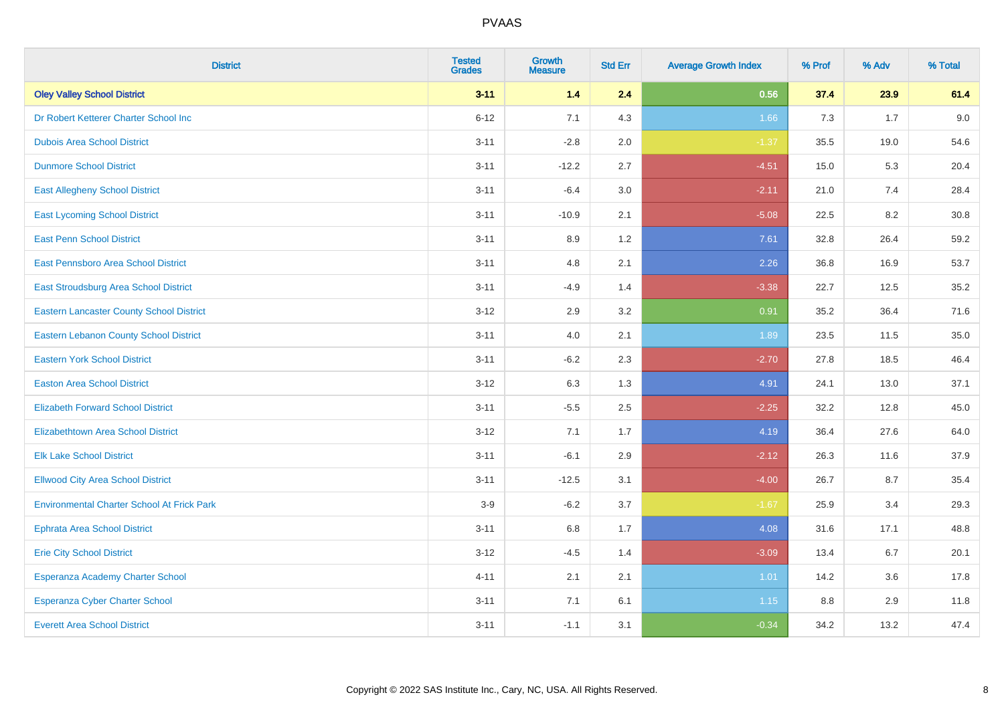| <b>District</b>                                   | <b>Tested</b><br><b>Grades</b> | Growth<br><b>Measure</b> | <b>Std Err</b> | <b>Average Growth Index</b> | % Prof | % Adv | % Total |
|---------------------------------------------------|--------------------------------|--------------------------|----------------|-----------------------------|--------|-------|---------|
| <b>Oley Valley School District</b>                | $3 - 11$                       | 1.4                      | 2.4            | 0.56                        | 37.4   | 23.9  | 61.4    |
| Dr Robert Ketterer Charter School Inc             | $6 - 12$                       | 7.1                      | 4.3            | 1.66                        | 7.3    | 1.7   | 9.0     |
| <b>Dubois Area School District</b>                | $3 - 11$                       | $-2.8$                   | 2.0            | $-1.37$                     | 35.5   | 19.0  | 54.6    |
| <b>Dunmore School District</b>                    | $3 - 11$                       | $-12.2$                  | 2.7            | $-4.51$                     | 15.0   | 5.3   | 20.4    |
| <b>East Allegheny School District</b>             | $3 - 11$                       | $-6.4$                   | 3.0            | $-2.11$                     | 21.0   | 7.4   | 28.4    |
| <b>East Lycoming School District</b>              | $3 - 11$                       | $-10.9$                  | 2.1            | $-5.08$                     | 22.5   | 8.2   | 30.8    |
| <b>East Penn School District</b>                  | $3 - 11$                       | 8.9                      | 1.2            | 7.61                        | 32.8   | 26.4  | 59.2    |
| East Pennsboro Area School District               | $3 - 11$                       | 4.8                      | 2.1            | 2.26                        | 36.8   | 16.9  | 53.7    |
| East Stroudsburg Area School District             | $3 - 11$                       | $-4.9$                   | 1.4            | $-3.38$                     | 22.7   | 12.5  | 35.2    |
| <b>Eastern Lancaster County School District</b>   | $3 - 12$                       | 2.9                      | 3.2            | 0.91                        | 35.2   | 36.4  | 71.6    |
| Eastern Lebanon County School District            | $3 - 11$                       | 4.0                      | 2.1            | 1.89                        | 23.5   | 11.5  | 35.0    |
| <b>Eastern York School District</b>               | $3 - 11$                       | $-6.2$                   | 2.3            | $-2.70$                     | 27.8   | 18.5  | 46.4    |
| <b>Easton Area School District</b>                | $3 - 12$                       | 6.3                      | 1.3            | 4.91                        | 24.1   | 13.0  | 37.1    |
| <b>Elizabeth Forward School District</b>          | $3 - 11$                       | $-5.5$                   | 2.5            | $-2.25$                     | 32.2   | 12.8  | 45.0    |
| <b>Elizabethtown Area School District</b>         | $3 - 12$                       | 7.1                      | 1.7            | 4.19                        | 36.4   | 27.6  | 64.0    |
| <b>Elk Lake School District</b>                   | $3 - 11$                       | $-6.1$                   | 2.9            | $-2.12$                     | 26.3   | 11.6  | 37.9    |
| <b>Ellwood City Area School District</b>          | $3 - 11$                       | $-12.5$                  | 3.1            | $-4.00$                     | 26.7   | 8.7   | 35.4    |
| <b>Environmental Charter School At Frick Park</b> | $3-9$                          | $-6.2$                   | 3.7            | $-1.67$                     | 25.9   | 3.4   | 29.3    |
| <b>Ephrata Area School District</b>               | $3 - 11$                       | $6.8\,$                  | 1.7            | 4.08                        | 31.6   | 17.1  | 48.8    |
| <b>Erie City School District</b>                  | $3 - 12$                       | $-4.5$                   | 1.4            | $-3.09$                     | 13.4   | 6.7   | 20.1    |
| Esperanza Academy Charter School                  | $4 - 11$                       | 2.1                      | 2.1            | 1.01                        | 14.2   | 3.6   | 17.8    |
| <b>Esperanza Cyber Charter School</b>             | $3 - 11$                       | 7.1                      | 6.1            | 1.15                        | 8.8    | 2.9   | 11.8    |
| <b>Everett Area School District</b>               | $3 - 11$                       | $-1.1$                   | 3.1            | $-0.34$                     | 34.2   | 13.2  | 47.4    |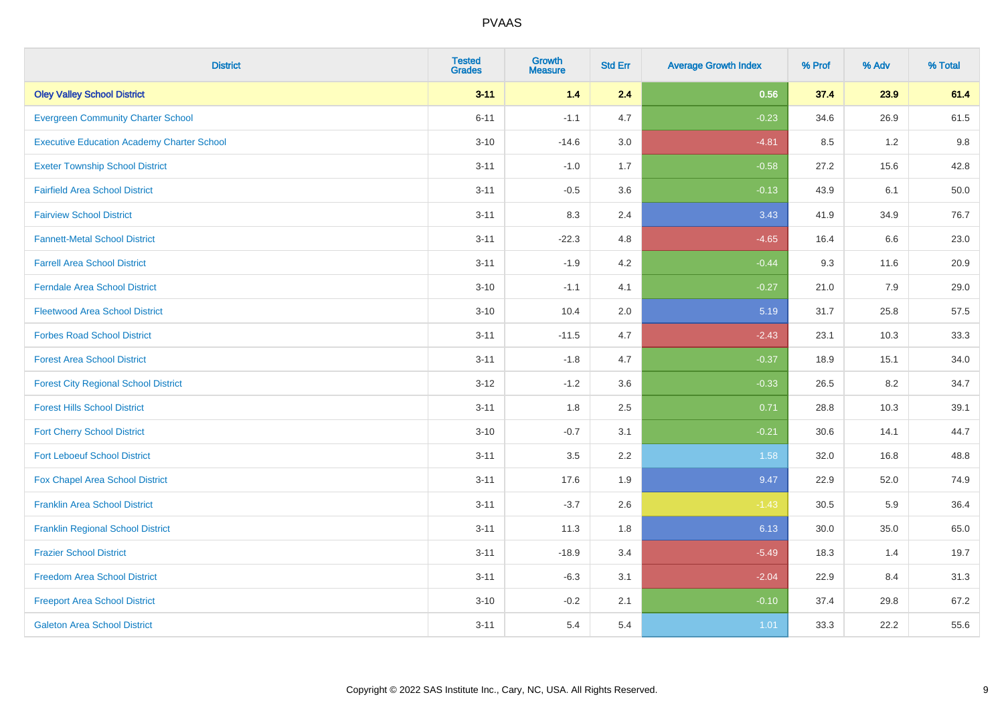| <b>District</b>                                   | <b>Tested</b><br><b>Grades</b> | Growth<br><b>Measure</b> | <b>Std Err</b> | <b>Average Growth Index</b> | % Prof | % Adv   | % Total |
|---------------------------------------------------|--------------------------------|--------------------------|----------------|-----------------------------|--------|---------|---------|
| <b>Oley Valley School District</b>                | $3 - 11$                       | 1.4                      | 2.4            | 0.56                        | 37.4   | 23.9    | 61.4    |
| <b>Evergreen Community Charter School</b>         | $6 - 11$                       | $-1.1$                   | 4.7            | $-0.23$                     | 34.6   | 26.9    | 61.5    |
| <b>Executive Education Academy Charter School</b> | $3 - 10$                       | $-14.6$                  | 3.0            | $-4.81$                     | 8.5    | 1.2     | 9.8     |
| <b>Exeter Township School District</b>            | $3 - 11$                       | $-1.0$                   | 1.7            | $-0.58$                     | 27.2   | 15.6    | 42.8    |
| <b>Fairfield Area School District</b>             | $3 - 11$                       | $-0.5$                   | 3.6            | $-0.13$                     | 43.9   | 6.1     | 50.0    |
| <b>Fairview School District</b>                   | $3 - 11$                       | 8.3                      | 2.4            | 3.43                        | 41.9   | 34.9    | 76.7    |
| <b>Fannett-Metal School District</b>              | $3 - 11$                       | $-22.3$                  | 4.8            | $-4.65$                     | 16.4   | 6.6     | 23.0    |
| <b>Farrell Area School District</b>               | $3 - 11$                       | $-1.9$                   | 4.2            | $-0.44$                     | 9.3    | 11.6    | 20.9    |
| <b>Ferndale Area School District</b>              | $3 - 10$                       | $-1.1$                   | 4.1            | $-0.27$                     | 21.0   | 7.9     | 29.0    |
| <b>Fleetwood Area School District</b>             | $3 - 10$                       | 10.4                     | 2.0            | 5.19                        | 31.7   | 25.8    | 57.5    |
| <b>Forbes Road School District</b>                | $3 - 11$                       | $-11.5$                  | 4.7            | $-2.43$                     | 23.1   | 10.3    | 33.3    |
| <b>Forest Area School District</b>                | $3 - 11$                       | $-1.8$                   | 4.7            | $-0.37$                     | 18.9   | 15.1    | 34.0    |
| <b>Forest City Regional School District</b>       | $3 - 12$                       | $-1.2$                   | 3.6            | $-0.33$                     | 26.5   | $8.2\,$ | 34.7    |
| <b>Forest Hills School District</b>               | $3 - 11$                       | 1.8                      | 2.5            | 0.71                        | 28.8   | 10.3    | 39.1    |
| <b>Fort Cherry School District</b>                | $3 - 10$                       | $-0.7$                   | 3.1            | $-0.21$                     | 30.6   | 14.1    | 44.7    |
| <b>Fort Leboeuf School District</b>               | $3 - 11$                       | 3.5                      | 2.2            | 1.58                        | 32.0   | 16.8    | 48.8    |
| Fox Chapel Area School District                   | $3 - 11$                       | 17.6                     | 1.9            | 9.47                        | 22.9   | 52.0    | 74.9    |
| <b>Franklin Area School District</b>              | $3 - 11$                       | $-3.7$                   | 2.6            | $-1.43$                     | 30.5   | 5.9     | 36.4    |
| <b>Franklin Regional School District</b>          | $3 - 11$                       | 11.3                     | 1.8            | 6.13                        | 30.0   | 35.0    | 65.0    |
| <b>Frazier School District</b>                    | $3 - 11$                       | $-18.9$                  | 3.4            | $-5.49$                     | 18.3   | 1.4     | 19.7    |
| <b>Freedom Area School District</b>               | $3 - 11$                       | $-6.3$                   | 3.1            | $-2.04$                     | 22.9   | 8.4     | 31.3    |
| <b>Freeport Area School District</b>              | $3 - 10$                       | $-0.2$                   | 2.1            | $-0.10$                     | 37.4   | 29.8    | 67.2    |
| <b>Galeton Area School District</b>               | $3 - 11$                       | 5.4                      | 5.4            | 1.01                        | 33.3   | 22.2    | 55.6    |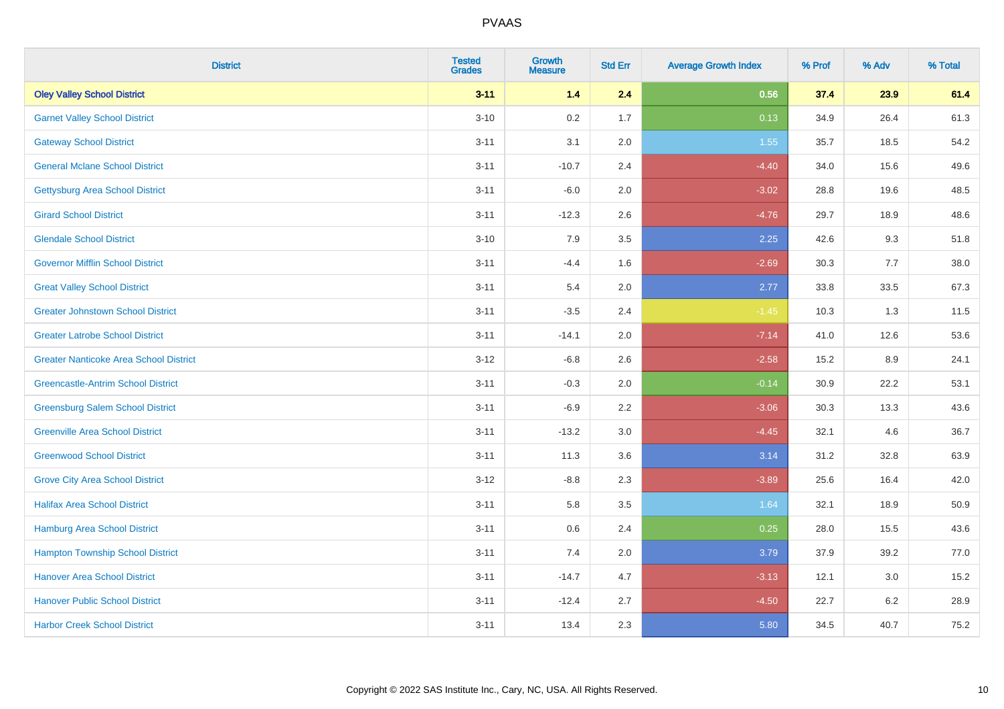| <b>District</b>                               | <b>Tested</b><br><b>Grades</b> | <b>Growth</b><br><b>Measure</b> | <b>Std Err</b> | <b>Average Growth Index</b> | % Prof | % Adv   | % Total |
|-----------------------------------------------|--------------------------------|---------------------------------|----------------|-----------------------------|--------|---------|---------|
| <b>Oley Valley School District</b>            | $3 - 11$                       | 1.4                             | 2.4            | 0.56                        | 37.4   | 23.9    | 61.4    |
| <b>Garnet Valley School District</b>          | $3 - 10$                       | 0.2                             | 1.7            | 0.13                        | 34.9   | 26.4    | 61.3    |
| <b>Gateway School District</b>                | $3 - 11$                       | 3.1                             | 2.0            | 1.55                        | 35.7   | 18.5    | 54.2    |
| <b>General Mclane School District</b>         | $3 - 11$                       | $-10.7$                         | 2.4            | $-4.40$                     | 34.0   | 15.6    | 49.6    |
| <b>Gettysburg Area School District</b>        | $3 - 11$                       | $-6.0$                          | 2.0            | $-3.02$                     | 28.8   | 19.6    | 48.5    |
| <b>Girard School District</b>                 | $3 - 11$                       | $-12.3$                         | 2.6            | $-4.76$                     | 29.7   | 18.9    | 48.6    |
| <b>Glendale School District</b>               | $3 - 10$                       | 7.9                             | 3.5            | 2.25                        | 42.6   | 9.3     | 51.8    |
| <b>Governor Mifflin School District</b>       | $3 - 11$                       | $-4.4$                          | 1.6            | $-2.69$                     | 30.3   | 7.7     | 38.0    |
| <b>Great Valley School District</b>           | $3 - 11$                       | 5.4                             | 2.0            | 2.77                        | 33.8   | 33.5    | 67.3    |
| <b>Greater Johnstown School District</b>      | $3 - 11$                       | $-3.5$                          | 2.4            | $-1.45$                     | 10.3   | 1.3     | 11.5    |
| <b>Greater Latrobe School District</b>        | $3 - 11$                       | $-14.1$                         | 2.0            | $-7.14$                     | 41.0   | 12.6    | 53.6    |
| <b>Greater Nanticoke Area School District</b> | $3 - 12$                       | $-6.8$                          | 2.6            | $-2.58$                     | 15.2   | 8.9     | 24.1    |
| <b>Greencastle-Antrim School District</b>     | $3 - 11$                       | $-0.3$                          | 2.0            | $-0.14$                     | 30.9   | 22.2    | 53.1    |
| <b>Greensburg Salem School District</b>       | $3 - 11$                       | $-6.9$                          | 2.2            | $-3.06$                     | 30.3   | 13.3    | 43.6    |
| <b>Greenville Area School District</b>        | $3 - 11$                       | $-13.2$                         | 3.0            | $-4.45$                     | 32.1   | 4.6     | 36.7    |
| <b>Greenwood School District</b>              | $3 - 11$                       | 11.3                            | 3.6            | 3.14                        | 31.2   | 32.8    | 63.9    |
| <b>Grove City Area School District</b>        | $3-12$                         | $-8.8$                          | 2.3            | $-3.89$                     | 25.6   | 16.4    | 42.0    |
| <b>Halifax Area School District</b>           | $3 - 11$                       | 5.8                             | 3.5            | 1.64                        | 32.1   | 18.9    | 50.9    |
| <b>Hamburg Area School District</b>           | $3 - 11$                       | 0.6                             | 2.4            | 0.25                        | 28.0   | 15.5    | 43.6    |
| <b>Hampton Township School District</b>       | $3 - 11$                       | 7.4                             | 2.0            | 3.79                        | 37.9   | 39.2    | 77.0    |
| <b>Hanover Area School District</b>           | $3 - 11$                       | $-14.7$                         | 4.7            | $-3.13$                     | 12.1   | $3.0\,$ | 15.2    |
| <b>Hanover Public School District</b>         | $3 - 11$                       | $-12.4$                         | 2.7            | $-4.50$                     | 22.7   | $6.2\,$ | 28.9    |
| <b>Harbor Creek School District</b>           | $3 - 11$                       | 13.4                            | 2.3            | 5.80                        | 34.5   | 40.7    | 75.2    |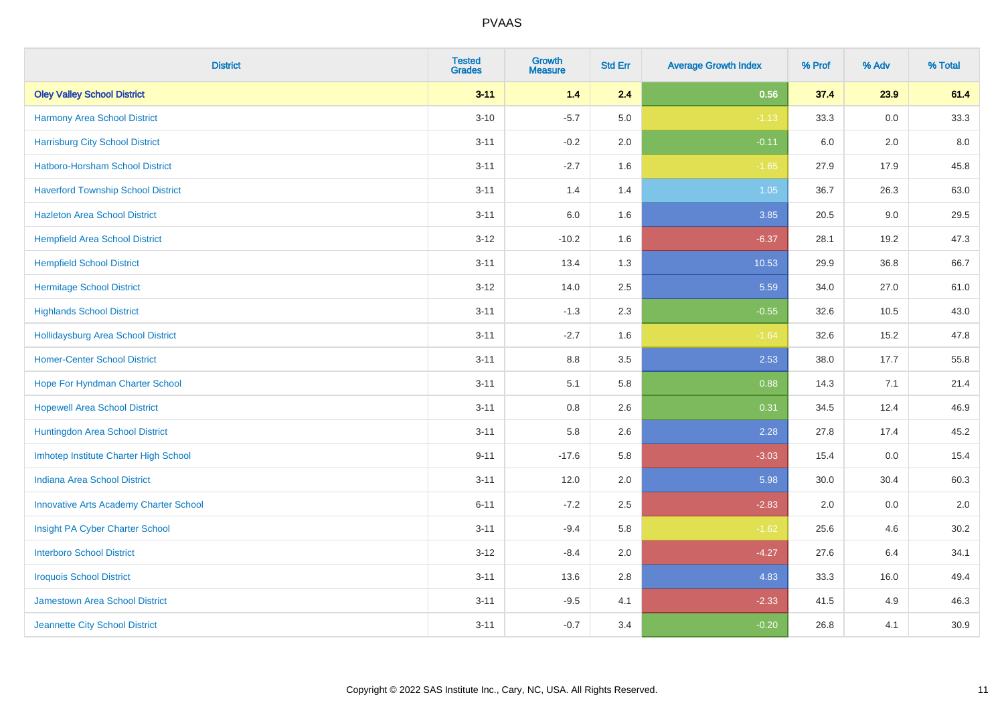| <b>District</b>                               | <b>Tested</b><br><b>Grades</b> | Growth<br><b>Measure</b> | <b>Std Err</b> | <b>Average Growth Index</b> | % Prof | % Adv | % Total |
|-----------------------------------------------|--------------------------------|--------------------------|----------------|-----------------------------|--------|-------|---------|
| <b>Oley Valley School District</b>            | $3 - 11$                       | $1.4$                    | 2.4            | 0.56                        | 37.4   | 23.9  | 61.4    |
| <b>Harmony Area School District</b>           | $3 - 10$                       | $-5.7$                   | 5.0            | $-1.13$                     | 33.3   | 0.0   | 33.3    |
| <b>Harrisburg City School District</b>        | $3 - 11$                       | $-0.2$                   | 2.0            | $-0.11$                     | 6.0    | 2.0   | 8.0     |
| Hatboro-Horsham School District               | $3 - 11$                       | $-2.7$                   | 1.6            | $-1.65$                     | 27.9   | 17.9  | 45.8    |
| <b>Haverford Township School District</b>     | $3 - 11$                       | 1.4                      | 1.4            | 1.05                        | 36.7   | 26.3  | 63.0    |
| <b>Hazleton Area School District</b>          | $3 - 11$                       | 6.0                      | 1.6            | 3.85                        | 20.5   | 9.0   | 29.5    |
| <b>Hempfield Area School District</b>         | $3 - 12$                       | $-10.2$                  | 1.6            | $-6.37$                     | 28.1   | 19.2  | 47.3    |
| <b>Hempfield School District</b>              | $3 - 11$                       | 13.4                     | 1.3            | 10.53                       | 29.9   | 36.8  | 66.7    |
| <b>Hermitage School District</b>              | $3 - 12$                       | 14.0                     | 2.5            | 5.59                        | 34.0   | 27.0  | 61.0    |
| <b>Highlands School District</b>              | $3 - 11$                       | $-1.3$                   | 2.3            | $-0.55$                     | 32.6   | 10.5  | 43.0    |
| <b>Hollidaysburg Area School District</b>     | $3 - 11$                       | $-2.7$                   | 1.6            | $-1.64$                     | 32.6   | 15.2  | 47.8    |
| <b>Homer-Center School District</b>           | $3 - 11$                       | $8.8\,$                  | 3.5            | 2.53                        | 38.0   | 17.7  | 55.8    |
| Hope For Hyndman Charter School               | $3 - 11$                       | 5.1                      | 5.8            | 0.88                        | 14.3   | 7.1   | 21.4    |
| <b>Hopewell Area School District</b>          | $3 - 11$                       | 0.8                      | 2.6            | 0.31                        | 34.5   | 12.4  | 46.9    |
| Huntingdon Area School District               | $3 - 11$                       | 5.8                      | 2.6            | 2.28                        | 27.8   | 17.4  | 45.2    |
| Imhotep Institute Charter High School         | $9 - 11$                       | $-17.6$                  | 5.8            | $-3.03$                     | 15.4   | 0.0   | 15.4    |
| <b>Indiana Area School District</b>           | $3 - 11$                       | 12.0                     | 2.0            | 5.98                        | 30.0   | 30.4  | 60.3    |
| <b>Innovative Arts Academy Charter School</b> | $6 - 11$                       | $-7.2$                   | 2.5            | $-2.83$                     | 2.0    | 0.0   | $2.0\,$ |
| Insight PA Cyber Charter School               | $3 - 11$                       | $-9.4$                   | 5.8            | $-1.62$                     | 25.6   | 4.6   | 30.2    |
| <b>Interboro School District</b>              | $3 - 12$                       | $-8.4$                   | 2.0            | $-4.27$                     | 27.6   | 6.4   | 34.1    |
| <b>Iroquois School District</b>               | $3 - 11$                       | 13.6                     | 2.8            | 4.83                        | 33.3   | 16.0  | 49.4    |
| <b>Jamestown Area School District</b>         | $3 - 11$                       | $-9.5$                   | 4.1            | $-2.33$                     | 41.5   | 4.9   | 46.3    |
| Jeannette City School District                | $3 - 11$                       | $-0.7$                   | 3.4            | $-0.20$                     | 26.8   | 4.1   | 30.9    |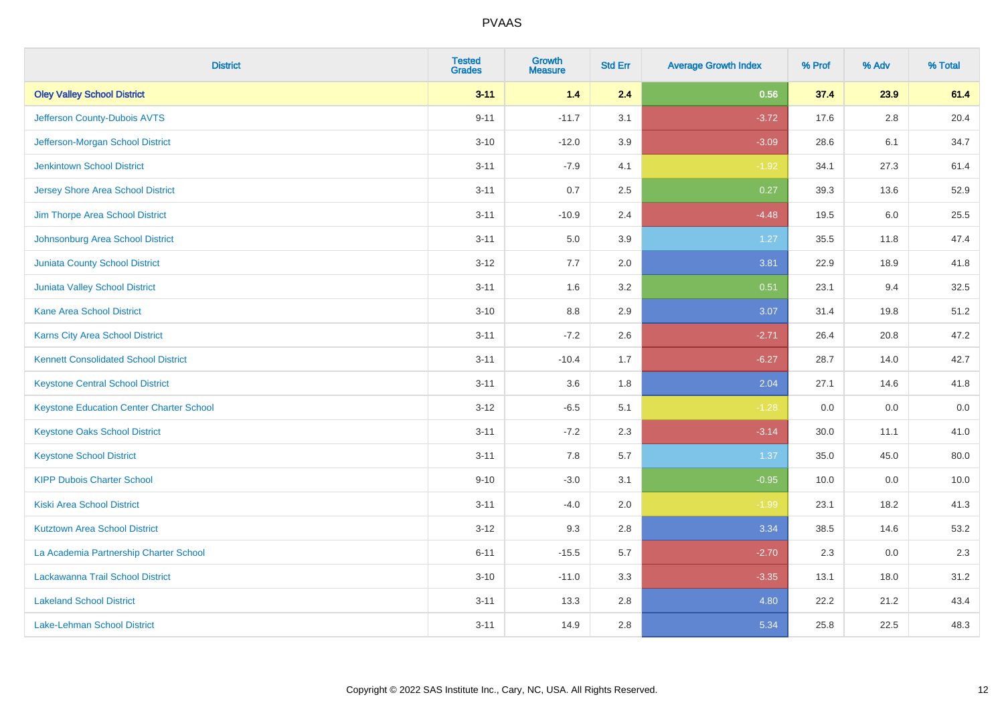| <b>District</b>                                 | <b>Tested</b><br><b>Grades</b> | <b>Growth</b><br><b>Measure</b> | <b>Std Err</b> | <b>Average Growth Index</b> | % Prof | % Adv | % Total |
|-------------------------------------------------|--------------------------------|---------------------------------|----------------|-----------------------------|--------|-------|---------|
| <b>Oley Valley School District</b>              | $3 - 11$                       | 1.4                             | 2.4            | 0.56                        | 37.4   | 23.9  | 61.4    |
| Jefferson County-Dubois AVTS                    | $9 - 11$                       | $-11.7$                         | 3.1            | $-3.72$                     | 17.6   | 2.8   | 20.4    |
| Jefferson-Morgan School District                | $3 - 10$                       | $-12.0$                         | 3.9            | $-3.09$                     | 28.6   | 6.1   | 34.7    |
| <b>Jenkintown School District</b>               | $3 - 11$                       | $-7.9$                          | 4.1            | $-1.92$                     | 34.1   | 27.3  | 61.4    |
| <b>Jersey Shore Area School District</b>        | $3 - 11$                       | 0.7                             | 2.5            | 0.27                        | 39.3   | 13.6  | 52.9    |
| Jim Thorpe Area School District                 | $3 - 11$                       | $-10.9$                         | 2.4            | $-4.48$                     | 19.5   | 6.0   | 25.5    |
| Johnsonburg Area School District                | $3 - 11$                       | 5.0                             | 3.9            | 1.27                        | 35.5   | 11.8  | 47.4    |
| <b>Juniata County School District</b>           | $3 - 12$                       | 7.7                             | 2.0            | 3.81                        | 22.9   | 18.9  | 41.8    |
| Juniata Valley School District                  | $3 - 11$                       | 1.6                             | 3.2            | 0.51                        | 23.1   | 9.4   | 32.5    |
| <b>Kane Area School District</b>                | $3 - 10$                       | 8.8                             | 2.9            | 3.07                        | 31.4   | 19.8  | 51.2    |
| Karns City Area School District                 | $3 - 11$                       | $-7.2$                          | 2.6            | $-2.71$                     | 26.4   | 20.8  | 47.2    |
| <b>Kennett Consolidated School District</b>     | $3 - 11$                       | $-10.4$                         | 1.7            | $-6.27$                     | 28.7   | 14.0  | 42.7    |
| <b>Keystone Central School District</b>         | $3 - 11$                       | 3.6                             | 1.8            | 2.04                        | 27.1   | 14.6  | 41.8    |
| <b>Keystone Education Center Charter School</b> | $3 - 12$                       | $-6.5$                          | 5.1            | $-1.28$                     | 0.0    | 0.0   | 0.0     |
| <b>Keystone Oaks School District</b>            | $3 - 11$                       | $-7.2$                          | 2.3            | $-3.14$                     | 30.0   | 11.1  | 41.0    |
| <b>Keystone School District</b>                 | $3 - 11$                       | 7.8                             | 5.7            | 1.37                        | 35.0   | 45.0  | 80.0    |
| <b>KIPP Dubois Charter School</b>               | $9 - 10$                       | $-3.0$                          | 3.1            | $-0.95$                     | 10.0   | 0.0   | 10.0    |
| <b>Kiski Area School District</b>               | $3 - 11$                       | $-4.0$                          | 2.0            | $-1.99$                     | 23.1   | 18.2  | 41.3    |
| <b>Kutztown Area School District</b>            | $3 - 12$                       | 9.3                             | 2.8            | 3.34                        | 38.5   | 14.6  | 53.2    |
| La Academia Partnership Charter School          | $6 - 11$                       | $-15.5$                         | 5.7            | $-2.70$                     | 2.3    | 0.0   | 2.3     |
| Lackawanna Trail School District                | $3 - 10$                       | $-11.0$                         | 3.3            | $-3.35$                     | 13.1   | 18.0  | 31.2    |
| <b>Lakeland School District</b>                 | $3 - 11$                       | 13.3                            | 2.8            | 4.80                        | 22.2   | 21.2  | 43.4    |
| Lake-Lehman School District                     | $3 - 11$                       | 14.9                            | 2.8            | 5.34                        | 25.8   | 22.5  | 48.3    |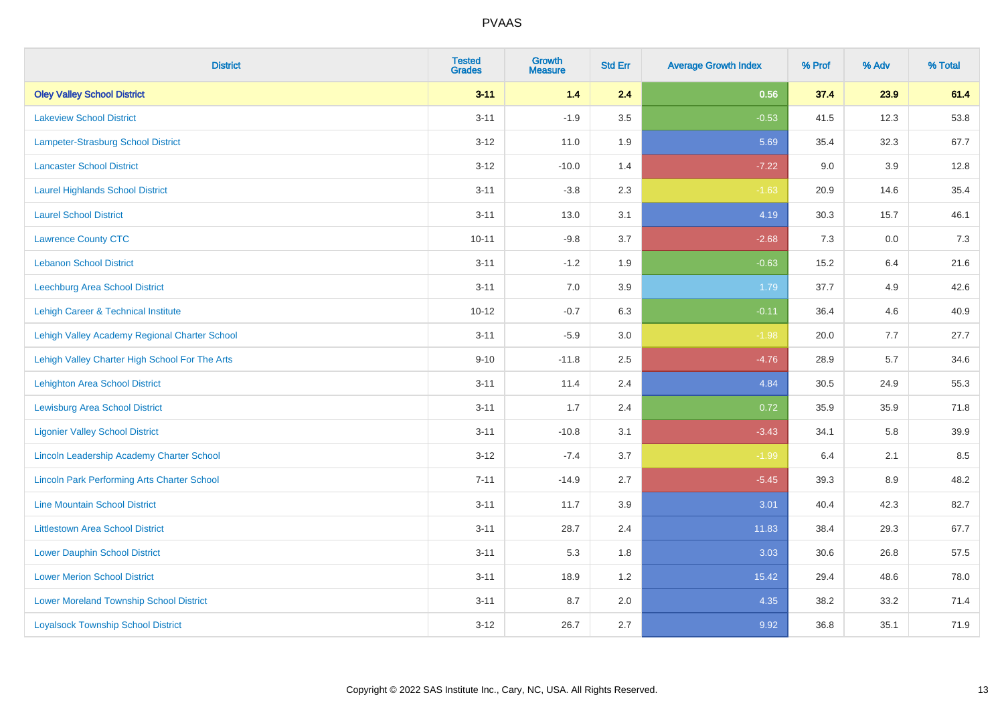| <b>District</b>                                    | <b>Tested</b><br><b>Grades</b> | Growth<br><b>Measure</b> | <b>Std Err</b> | <b>Average Growth Index</b> | % Prof | % Adv   | % Total |
|----------------------------------------------------|--------------------------------|--------------------------|----------------|-----------------------------|--------|---------|---------|
| <b>Oley Valley School District</b>                 | $3 - 11$                       | $1.4$                    | 2.4            | 0.56                        | 37.4   | 23.9    | 61.4    |
| <b>Lakeview School District</b>                    | $3 - 11$                       | $-1.9$                   | 3.5            | $-0.53$                     | 41.5   | 12.3    | 53.8    |
| Lampeter-Strasburg School District                 | $3 - 12$                       | 11.0                     | 1.9            | 5.69                        | 35.4   | 32.3    | 67.7    |
| <b>Lancaster School District</b>                   | $3 - 12$                       | $-10.0$                  | 1.4            | $-7.22$                     | 9.0    | 3.9     | 12.8    |
| <b>Laurel Highlands School District</b>            | $3 - 11$                       | $-3.8$                   | 2.3            | $-1.63$                     | 20.9   | 14.6    | 35.4    |
| <b>Laurel School District</b>                      | $3 - 11$                       | 13.0                     | 3.1            | 4.19                        | 30.3   | 15.7    | 46.1    |
| <b>Lawrence County CTC</b>                         | $10 - 11$                      | $-9.8$                   | 3.7            | $-2.68$                     | 7.3    | $0.0\,$ | 7.3     |
| <b>Lebanon School District</b>                     | $3 - 11$                       | $-1.2$                   | 1.9            | $-0.63$                     | 15.2   | 6.4     | 21.6    |
| Leechburg Area School District                     | $3 - 11$                       | 7.0                      | 3.9            | 1.79                        | 37.7   | 4.9     | 42.6    |
| Lehigh Career & Technical Institute                | $10 - 12$                      | $-0.7$                   | 6.3            | $-0.11$                     | 36.4   | 4.6     | 40.9    |
| Lehigh Valley Academy Regional Charter School      | $3 - 11$                       | $-5.9$                   | 3.0            | $-1.98$                     | 20.0   | 7.7     | 27.7    |
| Lehigh Valley Charter High School For The Arts     | $9 - 10$                       | $-11.8$                  | 2.5            | $-4.76$                     | 28.9   | 5.7     | 34.6    |
| <b>Lehighton Area School District</b>              | $3 - 11$                       | 11.4                     | 2.4            | 4.84                        | 30.5   | 24.9    | 55.3    |
| <b>Lewisburg Area School District</b>              | $3 - 11$                       | 1.7                      | 2.4            | 0.72                        | 35.9   | 35.9    | 71.8    |
| <b>Ligonier Valley School District</b>             | $3 - 11$                       | $-10.8$                  | 3.1            | $-3.43$                     | 34.1   | 5.8     | 39.9    |
| Lincoln Leadership Academy Charter School          | $3 - 12$                       | $-7.4$                   | 3.7            | $-1.99$                     | 6.4    | 2.1     | 8.5     |
| <b>Lincoln Park Performing Arts Charter School</b> | $7 - 11$                       | $-14.9$                  | 2.7            | $-5.45$                     | 39.3   | 8.9     | 48.2    |
| <b>Line Mountain School District</b>               | $3 - 11$                       | 11.7                     | 3.9            | 3.01                        | 40.4   | 42.3    | 82.7    |
| <b>Littlestown Area School District</b>            | $3 - 11$                       | 28.7                     | 2.4            | 11.83                       | 38.4   | 29.3    | 67.7    |
| <b>Lower Dauphin School District</b>               | $3 - 11$                       | 5.3                      | 1.8            | 3.03                        | 30.6   | 26.8    | 57.5    |
| <b>Lower Merion School District</b>                | $3 - 11$                       | 18.9                     | 1.2            | 15.42                       | 29.4   | 48.6    | 78.0    |
| <b>Lower Moreland Township School District</b>     | $3 - 11$                       | 8.7                      | 2.0            | 4.35                        | 38.2   | 33.2    | 71.4    |
| <b>Loyalsock Township School District</b>          | $3 - 12$                       | 26.7                     | 2.7            | 9.92                        | 36.8   | 35.1    | 71.9    |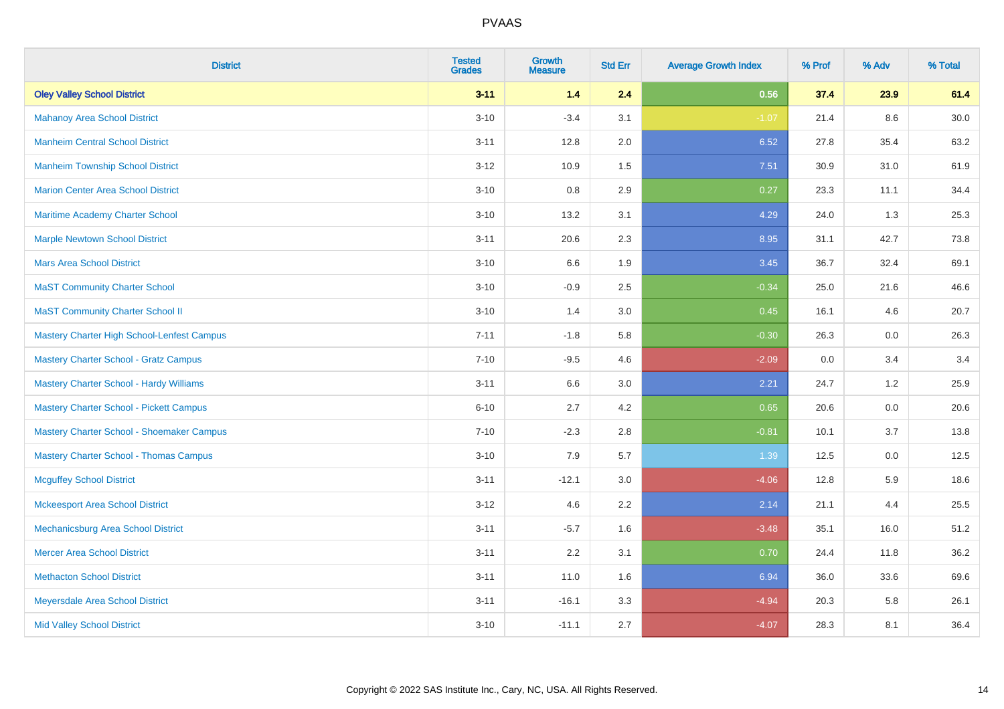| <b>District</b>                                | <b>Tested</b><br><b>Grades</b> | Growth<br><b>Measure</b> | <b>Std Err</b> | <b>Average Growth Index</b> | % Prof | % Adv | % Total |
|------------------------------------------------|--------------------------------|--------------------------|----------------|-----------------------------|--------|-------|---------|
| <b>Oley Valley School District</b>             | $3 - 11$                       | $1.4$                    | 2.4            | 0.56                        | 37.4   | 23.9  | 61.4    |
| <b>Mahanoy Area School District</b>            | $3 - 10$                       | $-3.4$                   | 3.1            | $-1.07$                     | 21.4   | 8.6   | 30.0    |
| <b>Manheim Central School District</b>         | $3 - 11$                       | 12.8                     | 2.0            | 6.52                        | 27.8   | 35.4  | 63.2    |
| <b>Manheim Township School District</b>        | $3 - 12$                       | 10.9                     | 1.5            | 7.51                        | 30.9   | 31.0  | 61.9    |
| <b>Marion Center Area School District</b>      | $3 - 10$                       | 0.8                      | 2.9            | 0.27                        | 23.3   | 11.1  | 34.4    |
| Maritime Academy Charter School                | $3 - 10$                       | 13.2                     | 3.1            | 4.29                        | 24.0   | 1.3   | 25.3    |
| <b>Marple Newtown School District</b>          | $3 - 11$                       | 20.6                     | 2.3            | 8.95                        | 31.1   | 42.7  | 73.8    |
| <b>Mars Area School District</b>               | $3 - 10$                       | 6.6                      | 1.9            | 3.45                        | 36.7   | 32.4  | 69.1    |
| <b>MaST Community Charter School</b>           | $3 - 10$                       | $-0.9$                   | 2.5            | $-0.34$                     | 25.0   | 21.6  | 46.6    |
| <b>MaST Community Charter School II</b>        | $3 - 10$                       | 1.4                      | 3.0            | 0.45                        | 16.1   | 4.6   | 20.7    |
| Mastery Charter High School-Lenfest Campus     | $7 - 11$                       | $-1.8$                   | 5.8            | $-0.30$                     | 26.3   | 0.0   | 26.3    |
| <b>Mastery Charter School - Gratz Campus</b>   | $7 - 10$                       | $-9.5$                   | 4.6            | $-2.09$                     | 0.0    | 3.4   | 3.4     |
| <b>Mastery Charter School - Hardy Williams</b> | $3 - 11$                       | 6.6                      | 3.0            | 2.21                        | 24.7   | 1.2   | 25.9    |
| <b>Mastery Charter School - Pickett Campus</b> | $6 - 10$                       | 2.7                      | 4.2            | 0.65                        | 20.6   | 0.0   | 20.6    |
| Mastery Charter School - Shoemaker Campus      | $7 - 10$                       | $-2.3$                   | 2.8            | $-0.81$                     | 10.1   | 3.7   | 13.8    |
| <b>Mastery Charter School - Thomas Campus</b>  | $3 - 10$                       | 7.9                      | 5.7            | 1.39                        | 12.5   | 0.0   | 12.5    |
| <b>Mcguffey School District</b>                | $3 - 11$                       | $-12.1$                  | 3.0            | $-4.06$                     | 12.8   | 5.9   | 18.6    |
| <b>Mckeesport Area School District</b>         | $3 - 12$                       | 4.6                      | 2.2            | 2.14                        | 21.1   | 4.4   | 25.5    |
| Mechanicsburg Area School District             | $3 - 11$                       | $-5.7$                   | 1.6            | $-3.48$                     | 35.1   | 16.0  | 51.2    |
| <b>Mercer Area School District</b>             | $3 - 11$                       | 2.2                      | 3.1            | 0.70                        | 24.4   | 11.8  | 36.2    |
| <b>Methacton School District</b>               | $3 - 11$                       | 11.0                     | 1.6            | 6.94                        | 36.0   | 33.6  | 69.6    |
| Meyersdale Area School District                | $3 - 11$                       | $-16.1$                  | 3.3            | $-4.94$                     | 20.3   | 5.8   | 26.1    |
| <b>Mid Valley School District</b>              | $3 - 10$                       | $-11.1$                  | 2.7            | $-4.07$                     | 28.3   | 8.1   | 36.4    |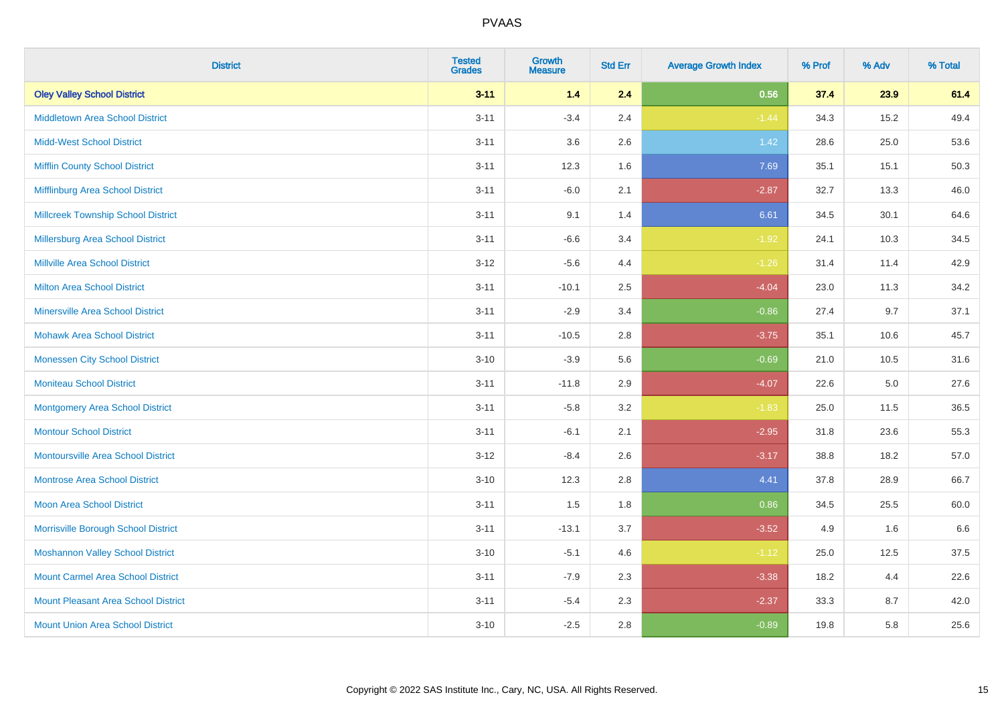| <b>District</b>                            | <b>Tested</b><br><b>Grades</b> | <b>Growth</b><br><b>Measure</b> | <b>Std Err</b> | <b>Average Growth Index</b> | % Prof | % Adv   | % Total |
|--------------------------------------------|--------------------------------|---------------------------------|----------------|-----------------------------|--------|---------|---------|
| <b>Oley Valley School District</b>         | $3 - 11$                       | 1.4                             | 2.4            | 0.56                        | 37.4   | 23.9    | 61.4    |
| <b>Middletown Area School District</b>     | $3 - 11$                       | $-3.4$                          | 2.4            | $-1.44$                     | 34.3   | 15.2    | 49.4    |
| <b>Midd-West School District</b>           | $3 - 11$                       | 3.6                             | 2.6            | $1.42$                      | 28.6   | 25.0    | 53.6    |
| <b>Mifflin County School District</b>      | $3 - 11$                       | 12.3                            | 1.6            | 7.69                        | 35.1   | 15.1    | 50.3    |
| Mifflinburg Area School District           | $3 - 11$                       | $-6.0$                          | 2.1            | $-2.87$                     | 32.7   | 13.3    | 46.0    |
| <b>Millcreek Township School District</b>  | $3 - 11$                       | 9.1                             | 1.4            | 6.61                        | 34.5   | 30.1    | 64.6    |
| <b>Millersburg Area School District</b>    | $3 - 11$                       | $-6.6$                          | 3.4            | $-1.92$                     | 24.1   | 10.3    | 34.5    |
| <b>Millville Area School District</b>      | $3 - 12$                       | $-5.6$                          | 4.4            | $-1.26$                     | 31.4   | 11.4    | 42.9    |
| <b>Milton Area School District</b>         | $3 - 11$                       | $-10.1$                         | 2.5            | $-4.04$                     | 23.0   | 11.3    | 34.2    |
| <b>Minersville Area School District</b>    | $3 - 11$                       | $-2.9$                          | 3.4            | $-0.86$                     | 27.4   | 9.7     | 37.1    |
| <b>Mohawk Area School District</b>         | $3 - 11$                       | $-10.5$                         | 2.8            | $-3.75$                     | 35.1   | 10.6    | 45.7    |
| <b>Monessen City School District</b>       | $3 - 10$                       | $-3.9$                          | 5.6            | $-0.69$                     | 21.0   | 10.5    | 31.6    |
| <b>Moniteau School District</b>            | $3 - 11$                       | $-11.8$                         | 2.9            | $-4.07$                     | 22.6   | $5.0\,$ | 27.6    |
| <b>Montgomery Area School District</b>     | $3 - 11$                       | $-5.8$                          | 3.2            | $-1.83$                     | 25.0   | 11.5    | 36.5    |
| <b>Montour School District</b>             | $3 - 11$                       | $-6.1$                          | 2.1            | $-2.95$                     | 31.8   | 23.6    | 55.3    |
| <b>Montoursville Area School District</b>  | $3 - 12$                       | $-8.4$                          | 2.6            | $-3.17$                     | 38.8   | 18.2    | 57.0    |
| <b>Montrose Area School District</b>       | $3 - 10$                       | 12.3                            | 2.8            | 4.41                        | 37.8   | 28.9    | 66.7    |
| <b>Moon Area School District</b>           | $3 - 11$                       | 1.5                             | 1.8            | 0.86                        | 34.5   | 25.5    | 60.0    |
| Morrisville Borough School District        | $3 - 11$                       | $-13.1$                         | 3.7            | $-3.52$                     | 4.9    | 1.6     | 6.6     |
| <b>Moshannon Valley School District</b>    | $3 - 10$                       | $-5.1$                          | 4.6            | $-1.12$                     | 25.0   | 12.5    | 37.5    |
| <b>Mount Carmel Area School District</b>   | $3 - 11$                       | $-7.9$                          | 2.3            | $-3.38$                     | 18.2   | 4.4     | 22.6    |
| <b>Mount Pleasant Area School District</b> | $3 - 11$                       | $-5.4$                          | 2.3            | $-2.37$                     | 33.3   | 8.7     | 42.0    |
| <b>Mount Union Area School District</b>    | $3 - 10$                       | $-2.5$                          | 2.8            | $-0.89$                     | 19.8   | 5.8     | 25.6    |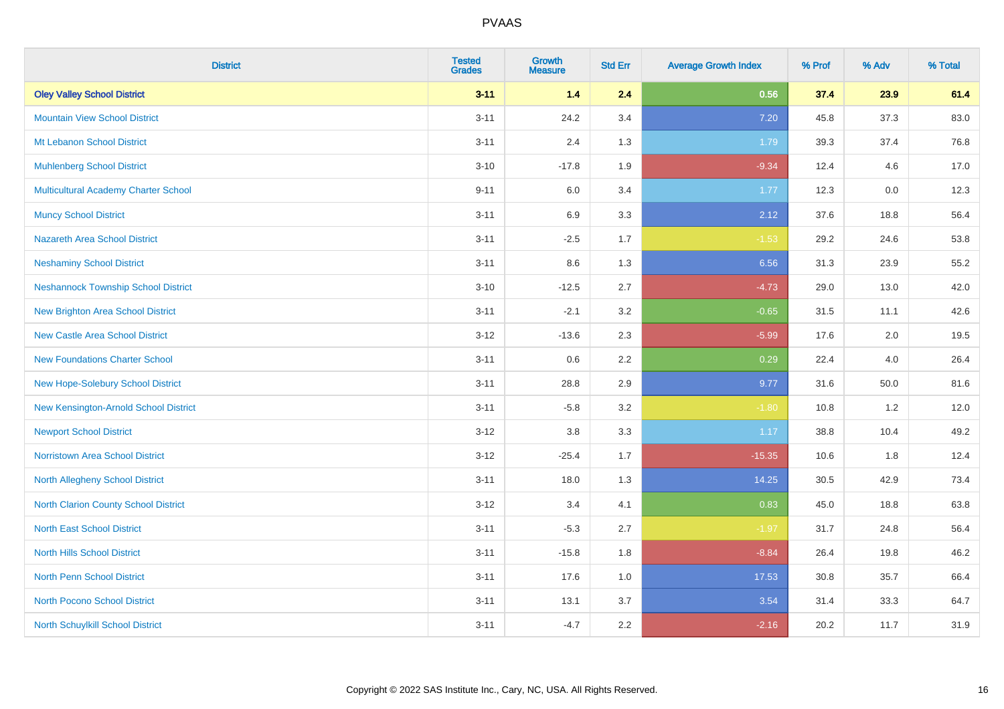| <b>District</b>                            | <b>Tested</b><br><b>Grades</b> | <b>Growth</b><br><b>Measure</b> | <b>Std Err</b> | <b>Average Growth Index</b> | % Prof | % Adv | % Total |
|--------------------------------------------|--------------------------------|---------------------------------|----------------|-----------------------------|--------|-------|---------|
| <b>Oley Valley School District</b>         | $3 - 11$                       | 1.4                             | 2.4            | 0.56                        | 37.4   | 23.9  | 61.4    |
| <b>Mountain View School District</b>       | $3 - 11$                       | 24.2                            | 3.4            | 7.20                        | 45.8   | 37.3  | 83.0    |
| Mt Lebanon School District                 | $3 - 11$                       | 2.4                             | 1.3            | 1.79                        | 39.3   | 37.4  | 76.8    |
| <b>Muhlenberg School District</b>          | $3 - 10$                       | $-17.8$                         | 1.9            | $-9.34$                     | 12.4   | 4.6   | 17.0    |
| Multicultural Academy Charter School       | $9 - 11$                       | 6.0                             | 3.4            | 1.77                        | 12.3   | 0.0   | 12.3    |
| <b>Muncy School District</b>               | $3 - 11$                       | 6.9                             | 3.3            | 2.12                        | 37.6   | 18.8  | 56.4    |
| Nazareth Area School District              | $3 - 11$                       | $-2.5$                          | 1.7            | $-1.53$                     | 29.2   | 24.6  | 53.8    |
| <b>Neshaminy School District</b>           | $3 - 11$                       | 8.6                             | 1.3            | 6.56                        | 31.3   | 23.9  | 55.2    |
| <b>Neshannock Township School District</b> | $3 - 10$                       | $-12.5$                         | 2.7            | $-4.73$                     | 29.0   | 13.0  | 42.0    |
| <b>New Brighton Area School District</b>   | $3 - 11$                       | $-2.1$                          | 3.2            | $-0.65$                     | 31.5   | 11.1  | 42.6    |
| New Castle Area School District            | $3 - 12$                       | $-13.6$                         | 2.3            | $-5.99$                     | 17.6   | 2.0   | 19.5    |
| <b>New Foundations Charter School</b>      | $3 - 11$                       | 0.6                             | 2.2            | 0.29                        | 22.4   | 4.0   | 26.4    |
| New Hope-Solebury School District          | $3 - 11$                       | 28.8                            | 2.9            | 9.77                        | 31.6   | 50.0  | 81.6    |
| New Kensington-Arnold School District      | $3 - 11$                       | $-5.8$                          | 3.2            | $-1.80$                     | 10.8   | 1.2   | 12.0    |
| <b>Newport School District</b>             | $3 - 12$                       | 3.8                             | 3.3            | 1.17                        | 38.8   | 10.4  | 49.2    |
| <b>Norristown Area School District</b>     | $3 - 12$                       | $-25.4$                         | 1.7            | $-15.35$                    | 10.6   | 1.8   | 12.4    |
| <b>North Allegheny School District</b>     | $3 - 11$                       | 18.0                            | 1.3            | 14.25                       | 30.5   | 42.9  | 73.4    |
| North Clarion County School District       | $3 - 12$                       | 3.4                             | 4.1            | 0.83                        | 45.0   | 18.8  | 63.8    |
| <b>North East School District</b>          | $3 - 11$                       | $-5.3$                          | 2.7            | $-1.97$                     | 31.7   | 24.8  | 56.4    |
| <b>North Hills School District</b>         | $3 - 11$                       | $-15.8$                         | 1.8            | $-8.84$                     | 26.4   | 19.8  | 46.2    |
| <b>North Penn School District</b>          | $3 - 11$                       | 17.6                            | 1.0            | 17.53                       | 30.8   | 35.7  | 66.4    |
| <b>North Pocono School District</b>        | $3 - 11$                       | 13.1                            | 3.7            | 3.54                        | 31.4   | 33.3  | 64.7    |
| North Schuylkill School District           | $3 - 11$                       | $-4.7$                          | 2.2            | $-2.16$                     | 20.2   | 11.7  | 31.9    |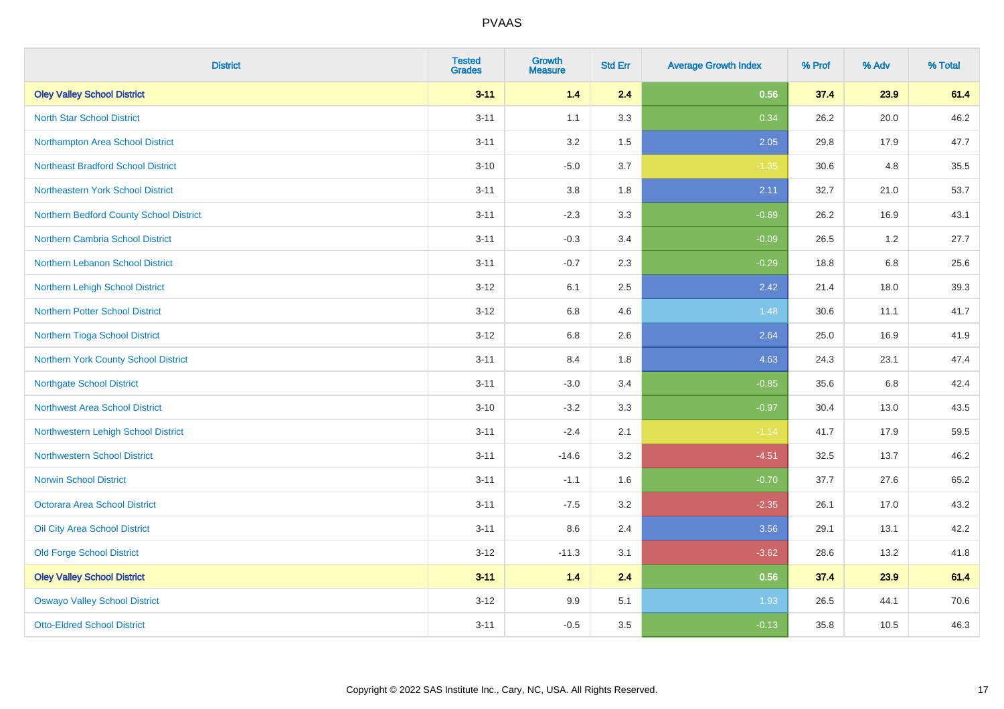| <b>District</b>                           | <b>Tested</b><br><b>Grades</b> | <b>Growth</b><br><b>Measure</b> | <b>Std Err</b> | <b>Average Growth Index</b> | % Prof | % Adv   | % Total |
|-------------------------------------------|--------------------------------|---------------------------------|----------------|-----------------------------|--------|---------|---------|
| <b>Oley Valley School District</b>        | $3 - 11$                       | 1.4                             | 2.4            | 0.56                        | 37.4   | 23.9    | 61.4    |
| <b>North Star School District</b>         | $3 - 11$                       | 1.1                             | 3.3            | 0.34                        | 26.2   | 20.0    | 46.2    |
| Northampton Area School District          | $3 - 11$                       | 3.2                             | 1.5            | 2.05                        | 29.8   | 17.9    | 47.7    |
| <b>Northeast Bradford School District</b> | $3 - 10$                       | $-5.0$                          | 3.7            | $-1.35$                     | 30.6   | 4.8     | 35.5    |
| Northeastern York School District         | $3 - 11$                       | 3.8                             | 1.8            | 2.11                        | 32.7   | 21.0    | 53.7    |
| Northern Bedford County School District   | $3 - 11$                       | $-2.3$                          | 3.3            | $-0.69$                     | 26.2   | 16.9    | 43.1    |
| Northern Cambria School District          | $3 - 11$                       | $-0.3$                          | 3.4            | $-0.09$                     | 26.5   | 1.2     | 27.7    |
| Northern Lebanon School District          | $3 - 11$                       | $-0.7$                          | 2.3            | $-0.29$                     | 18.8   | $6.8\,$ | 25.6    |
| Northern Lehigh School District           | $3 - 12$                       | 6.1                             | 2.5            | 2.42                        | 21.4   | 18.0    | 39.3    |
| Northern Potter School District           | $3-12$                         | 6.8                             | 4.6            | 1.48                        | 30.6   | 11.1    | 41.7    |
| Northern Tioga School District            | $3-12$                         | 6.8                             | 2.6            | 2.64                        | 25.0   | 16.9    | 41.9    |
| Northern York County School District      | $3 - 11$                       | 8.4                             | 1.8            | 4.63                        | 24.3   | 23.1    | 47.4    |
| <b>Northgate School District</b>          | $3 - 11$                       | $-3.0$                          | 3.4            | $-0.85$                     | 35.6   | $6.8\,$ | 42.4    |
| Northwest Area School District            | $3 - 10$                       | $-3.2$                          | 3.3            | $-0.97$                     | 30.4   | 13.0    | 43.5    |
| Northwestern Lehigh School District       | $3 - 11$                       | $-2.4$                          | 2.1            | $-1.14$                     | 41.7   | 17.9    | 59.5    |
| <b>Northwestern School District</b>       | $3 - 11$                       | $-14.6$                         | 3.2            | $-4.51$                     | 32.5   | 13.7    | 46.2    |
| <b>Norwin School District</b>             | $3 - 11$                       | $-1.1$                          | 1.6            | $-0.70$                     | 37.7   | 27.6    | 65.2    |
| <b>Octorara Area School District</b>      | $3 - 11$                       | $-7.5$                          | 3.2            | $-2.35$                     | 26.1   | 17.0    | 43.2    |
| Oil City Area School District             | $3 - 11$                       | 8.6                             | 2.4            | 3.56                        | 29.1   | 13.1    | 42.2    |
| <b>Old Forge School District</b>          | $3 - 12$                       | $-11.3$                         | 3.1            | $-3.62$                     | 28.6   | 13.2    | 41.8    |
| <b>Oley Valley School District</b>        | $3 - 11$                       | 1.4                             | 2.4            | 0.56                        | 37.4   | 23.9    | 61.4    |
| <b>Oswayo Valley School District</b>      | $3 - 12$                       | 9.9                             | 5.1            | 1.93                        | 26.5   | 44.1    | 70.6    |
| <b>Otto-Eldred School District</b>        | $3 - 11$                       | $-0.5$                          | 3.5            | $-0.13$                     | 35.8   | 10.5    | 46.3    |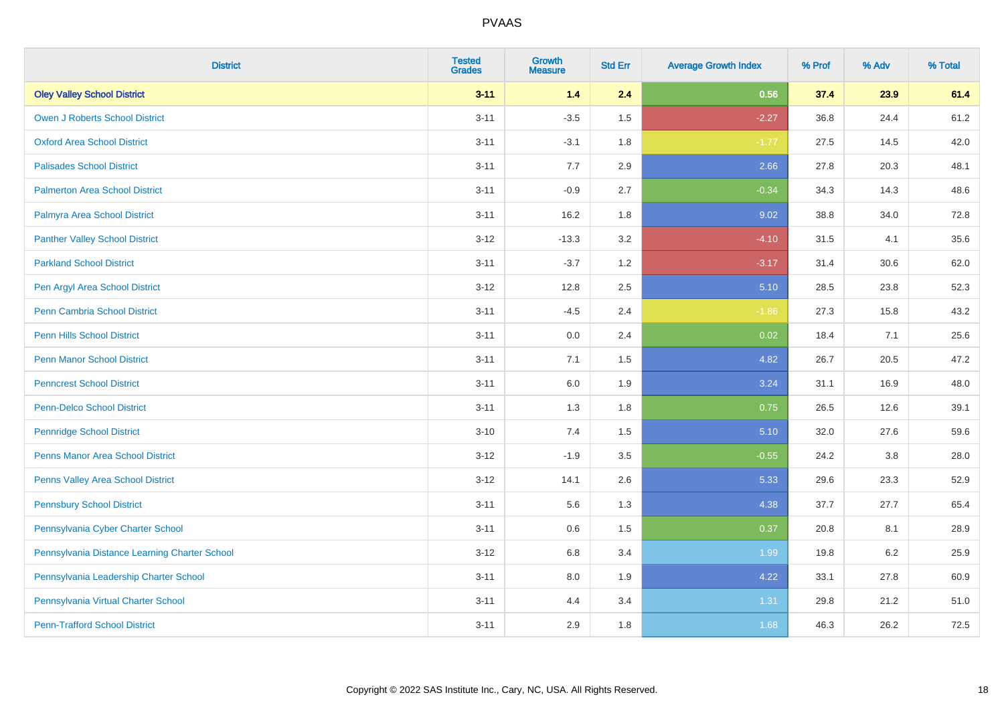| <b>District</b>                               | <b>Tested</b><br><b>Grades</b> | <b>Growth</b><br><b>Measure</b> | <b>Std Err</b> | <b>Average Growth Index</b> | % Prof | % Adv | % Total |
|-----------------------------------------------|--------------------------------|---------------------------------|----------------|-----------------------------|--------|-------|---------|
| <b>Oley Valley School District</b>            | $3 - 11$                       | 1.4                             | 2.4            | 0.56                        | 37.4   | 23.9  | 61.4    |
| <b>Owen J Roberts School District</b>         | $3 - 11$                       | $-3.5$                          | 1.5            | $-2.27$                     | 36.8   | 24.4  | 61.2    |
| <b>Oxford Area School District</b>            | $3 - 11$                       | $-3.1$                          | 1.8            | $-1.77$                     | 27.5   | 14.5  | 42.0    |
| <b>Palisades School District</b>              | $3 - 11$                       | 7.7                             | 2.9            | 2.66                        | 27.8   | 20.3  | 48.1    |
| <b>Palmerton Area School District</b>         | $3 - 11$                       | $-0.9$                          | 2.7            | $-0.34$                     | 34.3   | 14.3  | 48.6    |
| Palmyra Area School District                  | $3 - 11$                       | 16.2                            | 1.8            | 9.02                        | 38.8   | 34.0  | 72.8    |
| <b>Panther Valley School District</b>         | $3-12$                         | $-13.3$                         | 3.2            | $-4.10$                     | 31.5   | 4.1   | 35.6    |
| <b>Parkland School District</b>               | $3 - 11$                       | $-3.7$                          | 1.2            | $-3.17$                     | 31.4   | 30.6  | 62.0    |
| Pen Argyl Area School District                | $3 - 12$                       | 12.8                            | 2.5            | 5.10                        | 28.5   | 23.8  | 52.3    |
| <b>Penn Cambria School District</b>           | $3 - 11$                       | $-4.5$                          | 2.4            | $-1.86$                     | 27.3   | 15.8  | 43.2    |
| Penn Hills School District                    | $3 - 11$                       | 0.0                             | 2.4            | 0.02                        | 18.4   | 7.1   | 25.6    |
| <b>Penn Manor School District</b>             | $3 - 11$                       | 7.1                             | 1.5            | 4.82                        | 26.7   | 20.5  | 47.2    |
| <b>Penncrest School District</b>              | $3 - 11$                       | 6.0                             | 1.9            | 3.24                        | 31.1   | 16.9  | 48.0    |
| <b>Penn-Delco School District</b>             | $3 - 11$                       | 1.3                             | 1.8            | 0.75                        | 26.5   | 12.6  | 39.1    |
| <b>Pennridge School District</b>              | $3 - 10$                       | 7.4                             | 1.5            | 5.10                        | 32.0   | 27.6  | 59.6    |
| <b>Penns Manor Area School District</b>       | $3-12$                         | $-1.9$                          | 3.5            | $-0.55$                     | 24.2   | 3.8   | 28.0    |
| Penns Valley Area School District             | $3 - 12$                       | 14.1                            | 2.6            | 5.33                        | 29.6   | 23.3  | 52.9    |
| <b>Pennsbury School District</b>              | $3 - 11$                       | 5.6                             | 1.3            | 4.38                        | 37.7   | 27.7  | 65.4    |
| Pennsylvania Cyber Charter School             | $3 - 11$                       | 0.6                             | 1.5            | 0.37                        | 20.8   | 8.1   | 28.9    |
| Pennsylvania Distance Learning Charter School | $3-12$                         | 6.8                             | 3.4            | 1.99                        | 19.8   | 6.2   | 25.9    |
| Pennsylvania Leadership Charter School        | $3 - 11$                       | 8.0                             | 1.9            | 4.22                        | 33.1   | 27.8  | 60.9    |
| Pennsylvania Virtual Charter School           | $3 - 11$                       | 4.4                             | 3.4            | 1.31                        | 29.8   | 21.2  | 51.0    |
| <b>Penn-Trafford School District</b>          | $3 - 11$                       | 2.9                             | 1.8            | 1.68                        | 46.3   | 26.2  | 72.5    |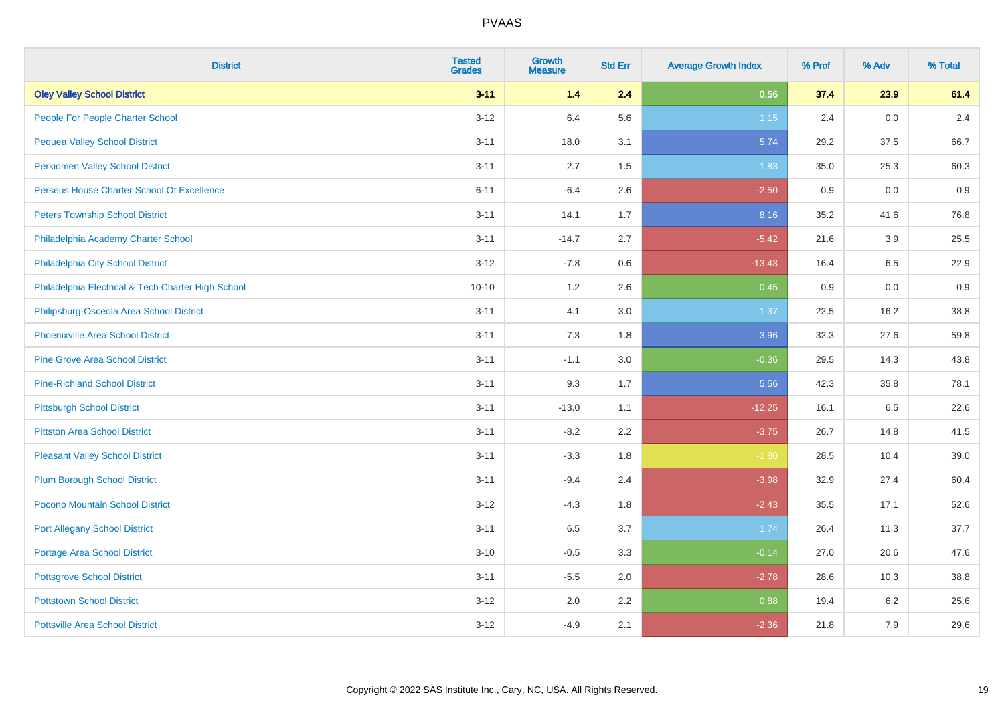| <b>District</b>                                    | <b>Tested</b><br><b>Grades</b> | <b>Growth</b><br><b>Measure</b> | <b>Std Err</b> | <b>Average Growth Index</b> | % Prof | % Adv | % Total |
|----------------------------------------------------|--------------------------------|---------------------------------|----------------|-----------------------------|--------|-------|---------|
| <b>Oley Valley School District</b>                 | $3 - 11$                       | 1.4                             | 2.4            | 0.56                        | 37.4   | 23.9  | 61.4    |
| People For People Charter School                   | $3-12$                         | 6.4                             | 5.6            | $1.15$                      | 2.4    | 0.0   | 2.4     |
| <b>Pequea Valley School District</b>               | $3 - 11$                       | 18.0                            | 3.1            | 5.74                        | 29.2   | 37.5  | 66.7    |
| <b>Perkiomen Valley School District</b>            | $3 - 11$                       | 2.7                             | 1.5            | 1.83                        | 35.0   | 25.3  | 60.3    |
| Perseus House Charter School Of Excellence         | $6 - 11$                       | $-6.4$                          | 2.6            | $-2.50$                     | 0.9    | 0.0   | 0.9     |
| <b>Peters Township School District</b>             | $3 - 11$                       | 14.1                            | 1.7            | 8.16                        | 35.2   | 41.6  | 76.8    |
| Philadelphia Academy Charter School                | $3 - 11$                       | $-14.7$                         | 2.7            | $-5.42$                     | 21.6   | 3.9   | 25.5    |
| Philadelphia City School District                  | $3 - 12$                       | $-7.8$                          | 0.6            | $-13.43$                    | 16.4   | 6.5   | 22.9    |
| Philadelphia Electrical & Tech Charter High School | $10 - 10$                      | 1.2                             | 2.6            | 0.45                        | 0.9    | 0.0   | 0.9     |
| Philipsburg-Osceola Area School District           | $3 - 11$                       | 4.1                             | 3.0            | 1.37                        | 22.5   | 16.2  | 38.8    |
| <b>Phoenixville Area School District</b>           | $3 - 11$                       | 7.3                             | 1.8            | 3.96                        | 32.3   | 27.6  | 59.8    |
| <b>Pine Grove Area School District</b>             | $3 - 11$                       | $-1.1$                          | 3.0            | $-0.36$                     | 29.5   | 14.3  | 43.8    |
| <b>Pine-Richland School District</b>               | $3 - 11$                       | 9.3                             | 1.7            | 5.56                        | 42.3   | 35.8  | 78.1    |
| <b>Pittsburgh School District</b>                  | $3 - 11$                       | $-13.0$                         | 1.1            | $-12.25$                    | 16.1   | 6.5   | 22.6    |
| <b>Pittston Area School District</b>               | $3 - 11$                       | $-8.2$                          | 2.2            | $-3.75$                     | 26.7   | 14.8  | 41.5    |
| <b>Pleasant Valley School District</b>             | $3 - 11$                       | $-3.3$                          | 1.8            | $-1.80$                     | 28.5   | 10.4  | 39.0    |
| <b>Plum Borough School District</b>                | $3 - 11$                       | $-9.4$                          | 2.4            | $-3.98$                     | 32.9   | 27.4  | 60.4    |
| Pocono Mountain School District                    | $3 - 12$                       | $-4.3$                          | 1.8            | $-2.43$                     | 35.5   | 17.1  | 52.6    |
| <b>Port Allegany School District</b>               | $3 - 11$                       | 6.5                             | 3.7            | 1.74                        | 26.4   | 11.3  | 37.7    |
| <b>Portage Area School District</b>                | $3 - 10$                       | $-0.5$                          | 3.3            | $-0.14$                     | 27.0   | 20.6  | 47.6    |
| <b>Pottsgrove School District</b>                  | $3 - 11$                       | $-5.5$                          | 2.0            | $-2.78$                     | 28.6   | 10.3  | 38.8    |
| <b>Pottstown School District</b>                   | $3 - 12$                       | 2.0                             | 2.2            | 0.88                        | 19.4   | 6.2   | 25.6    |
| <b>Pottsville Area School District</b>             | $3 - 12$                       | $-4.9$                          | 2.1            | $-2.36$                     | 21.8   | 7.9   | 29.6    |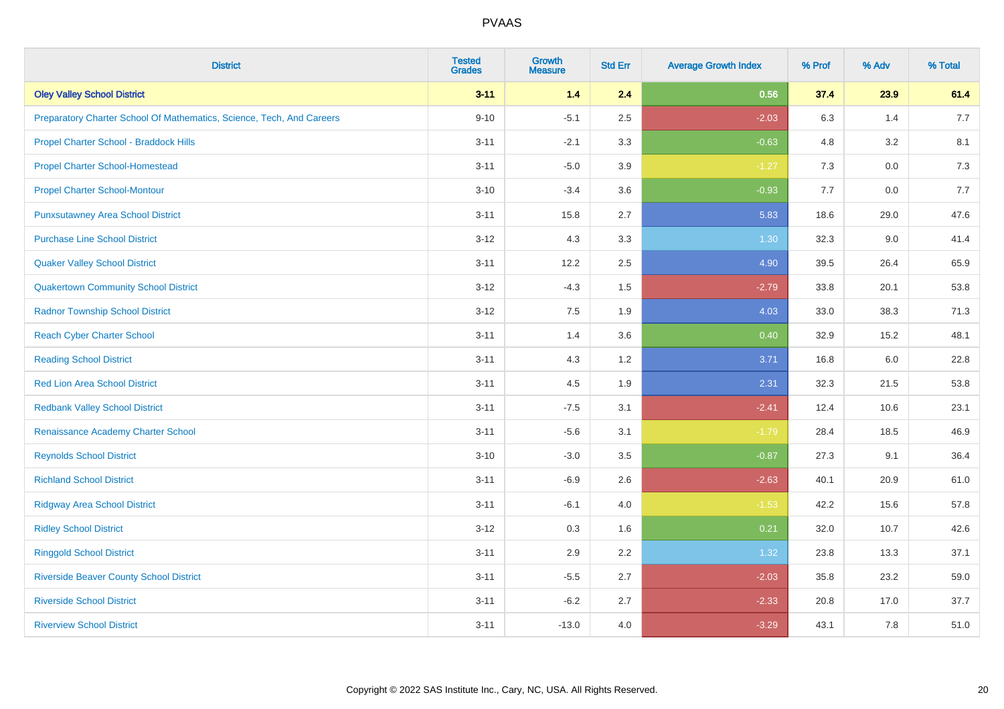| <b>District</b>                                                       | <b>Tested</b><br><b>Grades</b> | <b>Growth</b><br><b>Measure</b> | <b>Std Err</b> | <b>Average Growth Index</b> | % Prof | % Adv   | % Total |
|-----------------------------------------------------------------------|--------------------------------|---------------------------------|----------------|-----------------------------|--------|---------|---------|
| <b>Oley Valley School District</b>                                    | $3 - 11$                       | 1.4                             | 2.4            | 0.56                        | 37.4   | 23.9    | 61.4    |
| Preparatory Charter School Of Mathematics, Science, Tech, And Careers | $9 - 10$                       | $-5.1$                          | 2.5            | $-2.03$                     | 6.3    | 1.4     | 7.7     |
| Propel Charter School - Braddock Hills                                | $3 - 11$                       | $-2.1$                          | 3.3            | $-0.63$                     | 4.8    | 3.2     | 8.1     |
| <b>Propel Charter School-Homestead</b>                                | $3 - 11$                       | $-5.0$                          | 3.9            | $-1.27$                     | 7.3    | $0.0\,$ | 7.3     |
| <b>Propel Charter School-Montour</b>                                  | $3 - 10$                       | $-3.4$                          | 3.6            | $-0.93$                     | 7.7    | 0.0     | 7.7     |
| <b>Punxsutawney Area School District</b>                              | $3 - 11$                       | 15.8                            | 2.7            | 5.83                        | 18.6   | 29.0    | 47.6    |
| <b>Purchase Line School District</b>                                  | $3 - 12$                       | 4.3                             | 3.3            | 1.30                        | 32.3   | 9.0     | 41.4    |
| <b>Quaker Valley School District</b>                                  | $3 - 11$                       | 12.2                            | 2.5            | 4.90                        | 39.5   | 26.4    | 65.9    |
| <b>Quakertown Community School District</b>                           | $3 - 12$                       | $-4.3$                          | 1.5            | $-2.79$                     | 33.8   | 20.1    | 53.8    |
| <b>Radnor Township School District</b>                                | $3 - 12$                       | 7.5                             | 1.9            | 4.03                        | 33.0   | 38.3    | 71.3    |
| <b>Reach Cyber Charter School</b>                                     | $3 - 11$                       | 1.4                             | 3.6            | 0.40                        | 32.9   | 15.2    | 48.1    |
| <b>Reading School District</b>                                        | $3 - 11$                       | 4.3                             | 1.2            | 3.71                        | 16.8   | 6.0     | 22.8    |
| Red Lion Area School District                                         | $3 - 11$                       | 4.5                             | 1.9            | 2.31                        | 32.3   | 21.5    | 53.8    |
| <b>Redbank Valley School District</b>                                 | $3 - 11$                       | $-7.5$                          | 3.1            | $-2.41$                     | 12.4   | 10.6    | 23.1    |
| Renaissance Academy Charter School                                    | $3 - 11$                       | $-5.6$                          | 3.1            | $-1.79$                     | 28.4   | 18.5    | 46.9    |
| <b>Reynolds School District</b>                                       | $3 - 10$                       | $-3.0$                          | 3.5            | $-0.87$                     | 27.3   | 9.1     | 36.4    |
| <b>Richland School District</b>                                       | $3 - 11$                       | $-6.9$                          | 2.6            | $-2.63$                     | 40.1   | 20.9    | 61.0    |
| <b>Ridgway Area School District</b>                                   | $3 - 11$                       | $-6.1$                          | 4.0            | $-1.53$                     | 42.2   | 15.6    | 57.8    |
| <b>Ridley School District</b>                                         | $3 - 12$                       | 0.3                             | 1.6            | 0.21                        | 32.0   | 10.7    | 42.6    |
| <b>Ringgold School District</b>                                       | $3 - 11$                       | 2.9                             | 2.2            | 1.32                        | 23.8   | 13.3    | 37.1    |
| <b>Riverside Beaver County School District</b>                        | $3 - 11$                       | $-5.5$                          | 2.7            | $-2.03$                     | 35.8   | 23.2    | 59.0    |
| <b>Riverside School District</b>                                      | $3 - 11$                       | $-6.2$                          | 2.7            | $-2.33$                     | 20.8   | 17.0    | 37.7    |
| <b>Riverview School District</b>                                      | $3 - 11$                       | $-13.0$                         | 4.0            | $-3.29$                     | 43.1   | 7.8     | 51.0    |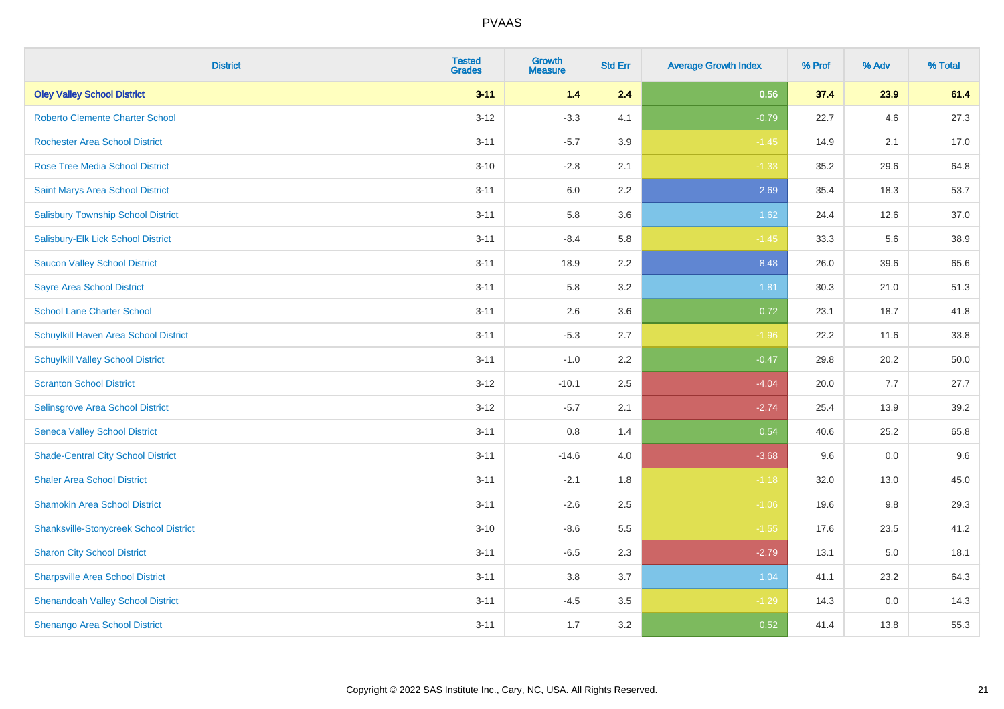| <b>District</b>                               | <b>Tested</b><br><b>Grades</b> | Growth<br><b>Measure</b> | <b>Std Err</b> | <b>Average Growth Index</b> | % Prof | % Adv | % Total |
|-----------------------------------------------|--------------------------------|--------------------------|----------------|-----------------------------|--------|-------|---------|
| <b>Oley Valley School District</b>            | $3 - 11$                       | $1.4$                    | 2.4            | 0.56                        | 37.4   | 23.9  | 61.4    |
| <b>Roberto Clemente Charter School</b>        | $3 - 12$                       | $-3.3$                   | 4.1            | $-0.79$                     | 22.7   | 4.6   | 27.3    |
| <b>Rochester Area School District</b>         | $3 - 11$                       | $-5.7$                   | 3.9            | $-1.45$                     | 14.9   | 2.1   | 17.0    |
| Rose Tree Media School District               | $3 - 10$                       | $-2.8$                   | 2.1            | $-1.33$                     | 35.2   | 29.6  | 64.8    |
| Saint Marys Area School District              | $3 - 11$                       | 6.0                      | 2.2            | 2.69                        | 35.4   | 18.3  | 53.7    |
| <b>Salisbury Township School District</b>     | $3 - 11$                       | 5.8                      | 3.6            | 1.62                        | 24.4   | 12.6  | 37.0    |
| Salisbury-Elk Lick School District            | $3 - 11$                       | $-8.4$                   | 5.8            | $-1.45$                     | 33.3   | 5.6   | 38.9    |
| <b>Saucon Valley School District</b>          | $3 - 11$                       | 18.9                     | 2.2            | 8.48                        | 26.0   | 39.6  | 65.6    |
| <b>Sayre Area School District</b>             | $3 - 11$                       | 5.8                      | 3.2            | 1.81                        | 30.3   | 21.0  | 51.3    |
| <b>School Lane Charter School</b>             | $3 - 11$                       | 2.6                      | 3.6            | 0.72                        | 23.1   | 18.7  | 41.8    |
| Schuylkill Haven Area School District         | $3 - 11$                       | $-5.3$                   | 2.7            | $-1.96$                     | 22.2   | 11.6  | 33.8    |
| <b>Schuylkill Valley School District</b>      | $3 - 11$                       | $-1.0$                   | 2.2            | $-0.47$                     | 29.8   | 20.2  | 50.0    |
| <b>Scranton School District</b>               | $3 - 12$                       | $-10.1$                  | 2.5            | $-4.04$                     | 20.0   | 7.7   | 27.7    |
| Selinsgrove Area School District              | $3 - 12$                       | $-5.7$                   | 2.1            | $-2.74$                     | 25.4   | 13.9  | 39.2    |
| <b>Seneca Valley School District</b>          | $3 - 11$                       | $0.8\,$                  | 1.4            | 0.54                        | 40.6   | 25.2  | 65.8    |
| <b>Shade-Central City School District</b>     | $3 - 11$                       | $-14.6$                  | 4.0            | $-3.68$                     | 9.6    | 0.0   | 9.6     |
| <b>Shaler Area School District</b>            | $3 - 11$                       | $-2.1$                   | 1.8            | $-1.18$                     | 32.0   | 13.0  | 45.0    |
| <b>Shamokin Area School District</b>          | $3 - 11$                       | $-2.6$                   | 2.5            | $-1.06$                     | 19.6   | 9.8   | 29.3    |
| <b>Shanksville-Stonycreek School District</b> | $3 - 10$                       | $-8.6$                   | 5.5            | $-1.55$                     | 17.6   | 23.5  | 41.2    |
| <b>Sharon City School District</b>            | $3 - 11$                       | $-6.5$                   | 2.3            | $-2.79$                     | 13.1   | 5.0   | 18.1    |
| <b>Sharpsville Area School District</b>       | $3 - 11$                       | 3.8                      | 3.7            | 1.04                        | 41.1   | 23.2  | 64.3    |
| <b>Shenandoah Valley School District</b>      | $3 - 11$                       | $-4.5$                   | 3.5            | $-1.29$                     | 14.3   | 0.0   | 14.3    |
| Shenango Area School District                 | $3 - 11$                       | 1.7                      | 3.2            | 0.52                        | 41.4   | 13.8  | 55.3    |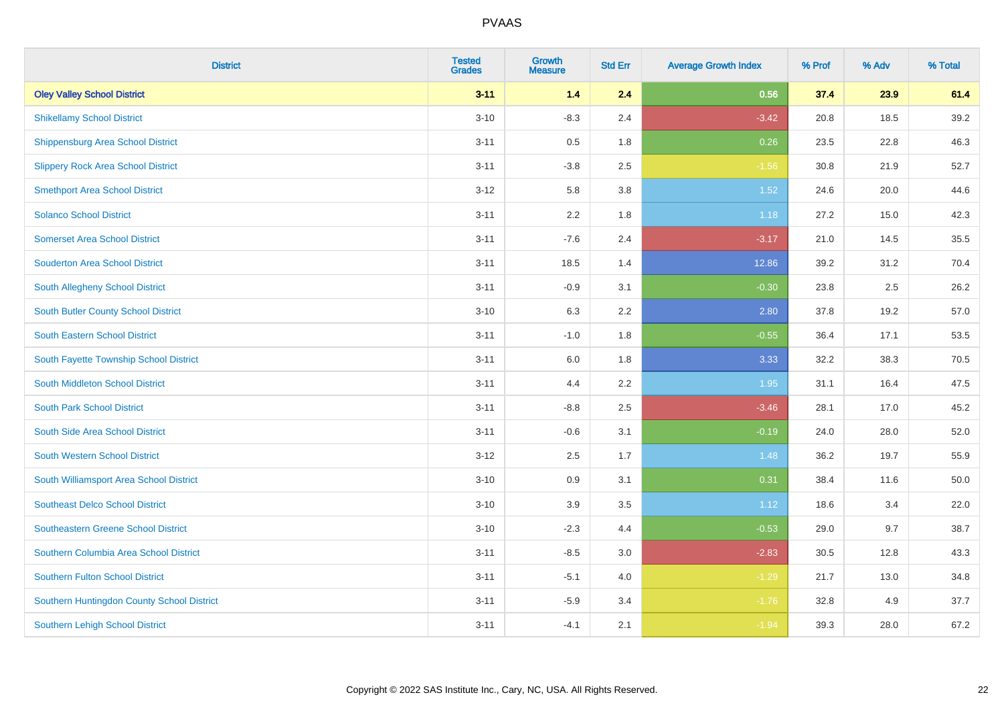| <b>District</b>                            | <b>Tested</b><br><b>Grades</b> | <b>Growth</b><br><b>Measure</b> | <b>Std Err</b> | <b>Average Growth Index</b> | % Prof | % Adv | % Total |
|--------------------------------------------|--------------------------------|---------------------------------|----------------|-----------------------------|--------|-------|---------|
| <b>Oley Valley School District</b>         | $3 - 11$                       | 1.4                             | 2.4            | 0.56                        | 37.4   | 23.9  | 61.4    |
| <b>Shikellamy School District</b>          | $3 - 10$                       | $-8.3$                          | 2.4            | $-3.42$                     | 20.8   | 18.5  | 39.2    |
| Shippensburg Area School District          | $3 - 11$                       | 0.5                             | 1.8            | 0.26                        | 23.5   | 22.8  | 46.3    |
| <b>Slippery Rock Area School District</b>  | $3 - 11$                       | $-3.8$                          | 2.5            | $-1.56$                     | 30.8   | 21.9  | 52.7    |
| <b>Smethport Area School District</b>      | $3-12$                         | 5.8                             | 3.8            | 1.52                        | 24.6   | 20.0  | 44.6    |
| <b>Solanco School District</b>             | $3 - 11$                       | 2.2                             | 1.8            | 1.18                        | 27.2   | 15.0  | 42.3    |
| <b>Somerset Area School District</b>       | $3 - 11$                       | $-7.6$                          | 2.4            | $-3.17$                     | 21.0   | 14.5  | 35.5    |
| <b>Souderton Area School District</b>      | $3 - 11$                       | 18.5                            | 1.4            | 12.86                       | 39.2   | 31.2  | 70.4    |
| South Allegheny School District            | $3 - 11$                       | $-0.9$                          | 3.1            | $-0.30$                     | 23.8   | 2.5   | 26.2    |
| South Butler County School District        | $3 - 10$                       | 6.3                             | 2.2            | 2.80                        | 37.8   | 19.2  | 57.0    |
| <b>South Eastern School District</b>       | $3 - 11$                       | $-1.0$                          | 1.8            | $-0.55$                     | 36.4   | 17.1  | 53.5    |
| South Fayette Township School District     | $3 - 11$                       | 6.0                             | 1.8            | 3.33                        | 32.2   | 38.3  | 70.5    |
| South Middleton School District            | $3 - 11$                       | 4.4                             | 2.2            | 1.95                        | 31.1   | 16.4  | 47.5    |
| <b>South Park School District</b>          | $3 - 11$                       | $-8.8$                          | 2.5            | $-3.46$                     | 28.1   | 17.0  | 45.2    |
| South Side Area School District            | $3 - 11$                       | $-0.6$                          | 3.1            | $-0.19$                     | 24.0   | 28.0  | 52.0    |
| South Western School District              | $3 - 12$                       | 2.5                             | 1.7            | 1.48                        | 36.2   | 19.7  | 55.9    |
| South Williamsport Area School District    | $3 - 10$                       | 0.9                             | 3.1            | 0.31                        | 38.4   | 11.6  | 50.0    |
| <b>Southeast Delco School District</b>     | $3 - 10$                       | 3.9                             | 3.5            | 1.12                        | 18.6   | 3.4   | 22.0    |
| <b>Southeastern Greene School District</b> | $3 - 10$                       | $-2.3$                          | 4.4            | $-0.53$                     | 29.0   | 9.7   | 38.7    |
| Southern Columbia Area School District     | $3 - 11$                       | $-8.5$                          | 3.0            | $-2.83$                     | 30.5   | 12.8  | 43.3    |
| <b>Southern Fulton School District</b>     | $3 - 11$                       | $-5.1$                          | 4.0            | $-1.29$                     | 21.7   | 13.0  | 34.8    |
| Southern Huntingdon County School District | $3 - 11$                       | $-5.9$                          | 3.4            | $-1.76$                     | 32.8   | 4.9   | 37.7    |
| <b>Southern Lehigh School District</b>     | $3 - 11$                       | $-4.1$                          | 2.1            | $-1.94$                     | 39.3   | 28.0  | 67.2    |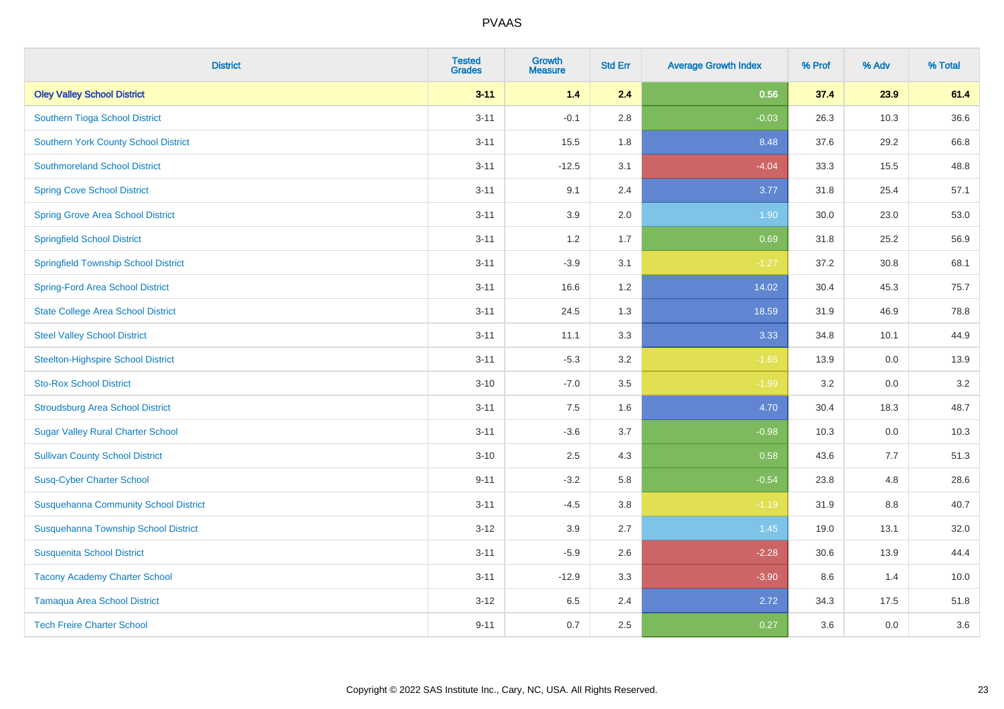| <b>District</b>                              | <b>Tested</b><br><b>Grades</b> | <b>Growth</b><br><b>Measure</b> | <b>Std Err</b> | <b>Average Growth Index</b> | % Prof | % Adv | % Total |
|----------------------------------------------|--------------------------------|---------------------------------|----------------|-----------------------------|--------|-------|---------|
| <b>Oley Valley School District</b>           | $3 - 11$                       | 1.4                             | 2.4            | 0.56                        | 37.4   | 23.9  | 61.4    |
| Southern Tioga School District               | $3 - 11$                       | $-0.1$                          | 2.8            | $-0.03$                     | 26.3   | 10.3  | 36.6    |
| <b>Southern York County School District</b>  | $3 - 11$                       | 15.5                            | 1.8            | 8.48                        | 37.6   | 29.2  | 66.8    |
| <b>Southmoreland School District</b>         | $3 - 11$                       | $-12.5$                         | 3.1            | $-4.04$                     | 33.3   | 15.5  | 48.8    |
| <b>Spring Cove School District</b>           | $3 - 11$                       | 9.1                             | 2.4            | 3.77                        | 31.8   | 25.4  | 57.1    |
| <b>Spring Grove Area School District</b>     | $3 - 11$                       | 3.9                             | 2.0            | 1.90                        | 30.0   | 23.0  | 53.0    |
| <b>Springfield School District</b>           | $3 - 11$                       | 1.2                             | 1.7            | 0.69                        | 31.8   | 25.2  | 56.9    |
| <b>Springfield Township School District</b>  | $3 - 11$                       | $-3.9$                          | 3.1            | $-1.27$                     | 37.2   | 30.8  | 68.1    |
| <b>Spring-Ford Area School District</b>      | $3 - 11$                       | 16.6                            | 1.2            | 14.02                       | 30.4   | 45.3  | 75.7    |
| <b>State College Area School District</b>    | $3 - 11$                       | 24.5                            | 1.3            | 18.59                       | 31.9   | 46.9  | 78.8    |
| <b>Steel Valley School District</b>          | $3 - 11$                       | 11.1                            | 3.3            | 3.33                        | 34.8   | 10.1  | 44.9    |
| <b>Steelton-Highspire School District</b>    | $3 - 11$                       | $-5.3$                          | 3.2            | $-1.65$                     | 13.9   | 0.0   | 13.9    |
| <b>Sto-Rox School District</b>               | $3 - 10$                       | $-7.0$                          | 3.5            | $-1.99$                     | 3.2    | 0.0   | 3.2     |
| <b>Stroudsburg Area School District</b>      | $3 - 11$                       | $7.5\,$                         | 1.6            | 4.70                        | 30.4   | 18.3  | 48.7    |
| <b>Sugar Valley Rural Charter School</b>     | $3 - 11$                       | $-3.6$                          | 3.7            | $-0.98$                     | 10.3   | 0.0   | 10.3    |
| <b>Sullivan County School District</b>       | $3 - 10$                       | 2.5                             | 4.3            | 0.58                        | 43.6   | 7.7   | 51.3    |
| <b>Susq-Cyber Charter School</b>             | $9 - 11$                       | $-3.2$                          | 5.8            | $-0.54$                     | 23.8   | 4.8   | 28.6    |
| <b>Susquehanna Community School District</b> | $3 - 11$                       | $-4.5$                          | 3.8            | $-1.19$                     | 31.9   | 8.8   | 40.7    |
| Susquehanna Township School District         | $3 - 12$                       | 3.9                             | 2.7            | 1.45                        | 19.0   | 13.1  | 32.0    |
| <b>Susquenita School District</b>            | $3 - 11$                       | $-5.9$                          | 2.6            | $-2.28$                     | 30.6   | 13.9  | 44.4    |
| <b>Tacony Academy Charter School</b>         | $3 - 11$                       | $-12.9$                         | 3.3            | $-3.90$                     | 8.6    | 1.4   | 10.0    |
| <b>Tamaqua Area School District</b>          | $3 - 12$                       | 6.5                             | 2.4            | 2.72                        | 34.3   | 17.5  | 51.8    |
| <b>Tech Freire Charter School</b>            | $9 - 11$                       | 0.7                             | 2.5            | 0.27                        | 3.6    | 0.0   | 3.6     |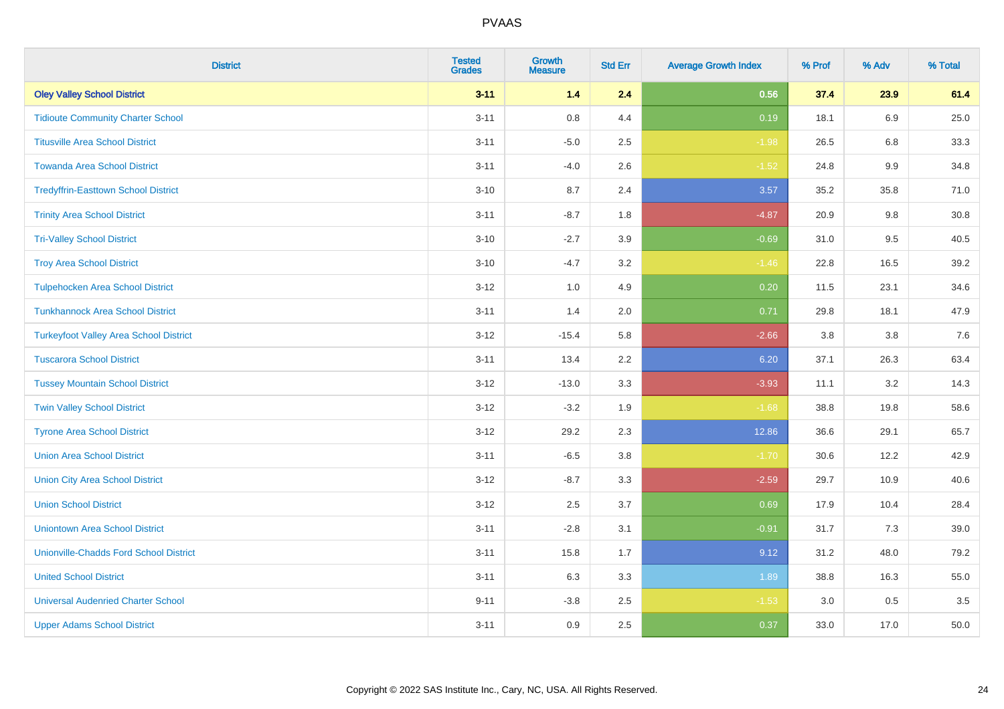| <b>District</b>                               | <b>Tested</b><br><b>Grades</b> | Growth<br><b>Measure</b> | <b>Std Err</b> | <b>Average Growth Index</b> | % Prof | % Adv   | % Total |
|-----------------------------------------------|--------------------------------|--------------------------|----------------|-----------------------------|--------|---------|---------|
| <b>Oley Valley School District</b>            | $3 - 11$                       | $1.4$                    | 2.4            | 0.56                        | 37.4   | 23.9    | 61.4    |
| <b>Tidioute Community Charter School</b>      | $3 - 11$                       | 0.8                      | 4.4            | 0.19                        | 18.1   | 6.9     | 25.0    |
| <b>Titusville Area School District</b>        | $3 - 11$                       | $-5.0$                   | 2.5            | $-1.98$                     | 26.5   | 6.8     | 33.3    |
| <b>Towanda Area School District</b>           | $3 - 11$                       | $-4.0$                   | 2.6            | $-1.52$                     | 24.8   | $9.9\,$ | 34.8    |
| <b>Tredyffrin-Easttown School District</b>    | $3 - 10$                       | 8.7                      | 2.4            | 3.57                        | 35.2   | 35.8    | 71.0    |
| <b>Trinity Area School District</b>           | $3 - 11$                       | $-8.7$                   | 1.8            | $-4.87$                     | 20.9   | 9.8     | 30.8    |
| <b>Tri-Valley School District</b>             | $3 - 10$                       | $-2.7$                   | 3.9            | $-0.69$                     | 31.0   | 9.5     | 40.5    |
| <b>Troy Area School District</b>              | $3 - 10$                       | $-4.7$                   | 3.2            | $-1.46$                     | 22.8   | 16.5    | 39.2    |
| <b>Tulpehocken Area School District</b>       | $3 - 12$                       | 1.0                      | 4.9            | 0.20                        | 11.5   | 23.1    | 34.6    |
| <b>Tunkhannock Area School District</b>       | $3 - 11$                       | 1.4                      | 2.0            | 0.71                        | 29.8   | 18.1    | 47.9    |
| <b>Turkeyfoot Valley Area School District</b> | $3-12$                         | $-15.4$                  | 5.8            | $-2.66$                     | 3.8    | 3.8     | 7.6     |
| <b>Tuscarora School District</b>              | $3 - 11$                       | 13.4                     | 2.2            | 6.20                        | 37.1   | 26.3    | 63.4    |
| <b>Tussey Mountain School District</b>        | $3 - 12$                       | $-13.0$                  | 3.3            | $-3.93$                     | 11.1   | $3.2\,$ | 14.3    |
| <b>Twin Valley School District</b>            | $3 - 12$                       | $-3.2$                   | 1.9            | $-1.68$                     | 38.8   | 19.8    | 58.6    |
| <b>Tyrone Area School District</b>            | $3 - 12$                       | 29.2                     | 2.3            | 12.86                       | 36.6   | 29.1    | 65.7    |
| <b>Union Area School District</b>             | $3 - 11$                       | $-6.5$                   | 3.8            | $-1.70$                     | 30.6   | 12.2    | 42.9    |
| <b>Union City Area School District</b>        | $3 - 12$                       | $-8.7$                   | 3.3            | $-2.59$                     | 29.7   | 10.9    | 40.6    |
| <b>Union School District</b>                  | $3-12$                         | 2.5                      | 3.7            | 0.69                        | 17.9   | 10.4    | 28.4    |
| <b>Uniontown Area School District</b>         | $3 - 11$                       | $-2.8$                   | 3.1            | $-0.91$                     | 31.7   | 7.3     | 39.0    |
| <b>Unionville-Chadds Ford School District</b> | $3 - 11$                       | 15.8                     | 1.7            | 9.12                        | 31.2   | 48.0    | 79.2    |
| <b>United School District</b>                 | $3 - 11$                       | 6.3                      | 3.3            | 1.89                        | 38.8   | 16.3    | 55.0    |
| <b>Universal Audenried Charter School</b>     | $9 - 11$                       | $-3.8$                   | 2.5            | $-1.53$                     | 3.0    | 0.5     | 3.5     |
| <b>Upper Adams School District</b>            | $3 - 11$                       | 0.9                      | 2.5            | 0.37                        | 33.0   | 17.0    | 50.0    |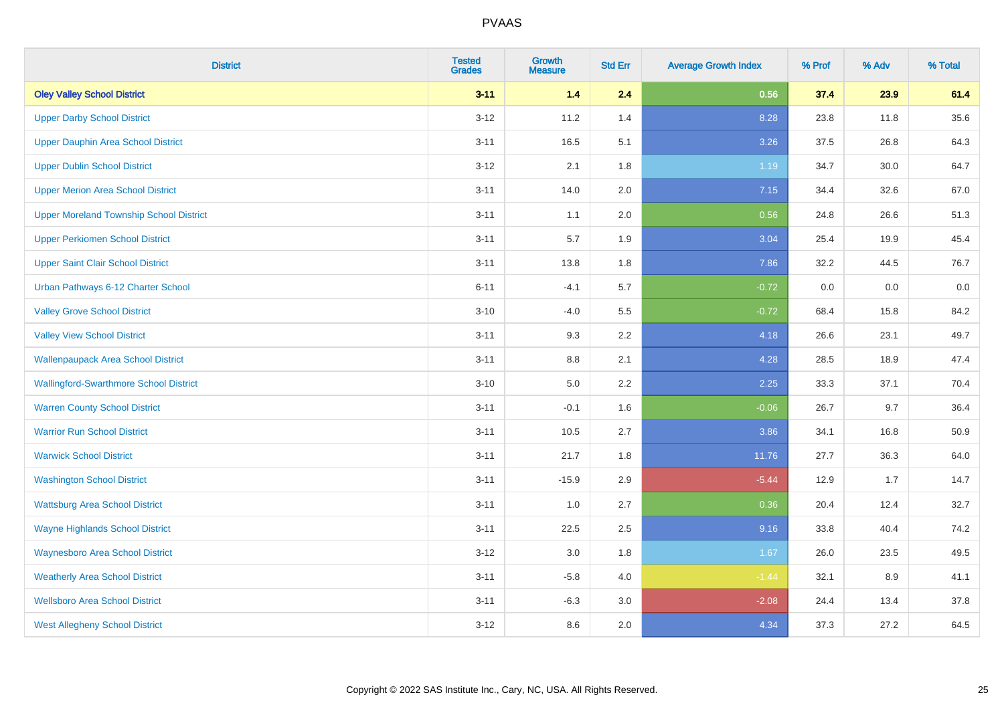| <b>District</b>                                | <b>Tested</b><br><b>Grades</b> | Growth<br><b>Measure</b> | <b>Std Err</b> | <b>Average Growth Index</b> | % Prof | % Adv | % Total |
|------------------------------------------------|--------------------------------|--------------------------|----------------|-----------------------------|--------|-------|---------|
| <b>Oley Valley School District</b>             | $3 - 11$                       | $1.4$                    | 2.4            | 0.56                        | 37.4   | 23.9  | 61.4    |
| <b>Upper Darby School District</b>             | $3 - 12$                       | 11.2                     | 1.4            | 8.28                        | 23.8   | 11.8  | 35.6    |
| Upper Dauphin Area School District             | $3 - 11$                       | 16.5                     | 5.1            | 3.26                        | 37.5   | 26.8  | 64.3    |
| <b>Upper Dublin School District</b>            | $3 - 12$                       | 2.1                      | 1.8            | 1.19                        | 34.7   | 30.0  | 64.7    |
| <b>Upper Merion Area School District</b>       | $3 - 11$                       | 14.0                     | 2.0            | 7.15                        | 34.4   | 32.6  | 67.0    |
| <b>Upper Moreland Township School District</b> | $3 - 11$                       | 1.1                      | 2.0            | 0.56                        | 24.8   | 26.6  | 51.3    |
| <b>Upper Perkiomen School District</b>         | $3 - 11$                       | 5.7                      | 1.9            | 3.04                        | 25.4   | 19.9  | 45.4    |
| <b>Upper Saint Clair School District</b>       | $3 - 11$                       | 13.8                     | 1.8            | 7.86                        | 32.2   | 44.5  | 76.7    |
| Urban Pathways 6-12 Charter School             | $6 - 11$                       | $-4.1$                   | 5.7            | $-0.72$                     | 0.0    | 0.0   | $0.0\,$ |
| <b>Valley Grove School District</b>            | $3 - 10$                       | $-4.0$                   | 5.5            | $-0.72$                     | 68.4   | 15.8  | 84.2    |
| <b>Valley View School District</b>             | $3 - 11$                       | 9.3                      | 2.2            | 4.18                        | 26.6   | 23.1  | 49.7    |
| <b>Wallenpaupack Area School District</b>      | $3 - 11$                       | 8.8                      | 2.1            | 4.28                        | 28.5   | 18.9  | 47.4    |
| <b>Wallingford-Swarthmore School District</b>  | $3 - 10$                       | 5.0                      | $2.2\,$        | 2.25                        | 33.3   | 37.1  | 70.4    |
| <b>Warren County School District</b>           | $3 - 11$                       | $-0.1$                   | 1.6            | $-0.06$                     | 26.7   | 9.7   | 36.4    |
| <b>Warrior Run School District</b>             | $3 - 11$                       | 10.5                     | 2.7            | 3.86                        | 34.1   | 16.8  | 50.9    |
| <b>Warwick School District</b>                 | $3 - 11$                       | 21.7                     | 1.8            | 11.76                       | 27.7   | 36.3  | 64.0    |
| <b>Washington School District</b>              | $3 - 11$                       | $-15.9$                  | 2.9            | $-5.44$                     | 12.9   | 1.7   | 14.7    |
| <b>Wattsburg Area School District</b>          | $3 - 11$                       | 1.0                      | 2.7            | 0.36                        | 20.4   | 12.4  | 32.7    |
| <b>Wayne Highlands School District</b>         | $3 - 11$                       | 22.5                     | 2.5            | 9.16                        | 33.8   | 40.4  | 74.2    |
| <b>Waynesboro Area School District</b>         | $3 - 12$                       | $3.0\,$                  | 1.8            | 1.67                        | 26.0   | 23.5  | 49.5    |
| <b>Weatherly Area School District</b>          | $3 - 11$                       | $-5.8$                   | 4.0            | $-1.44$                     | 32.1   | 8.9   | 41.1    |
| <b>Wellsboro Area School District</b>          | $3 - 11$                       | $-6.3$                   | 3.0            | $-2.08$                     | 24.4   | 13.4  | 37.8    |
| <b>West Allegheny School District</b>          | $3 - 12$                       | 8.6                      | 2.0            | 4.34                        | 37.3   | 27.2  | 64.5    |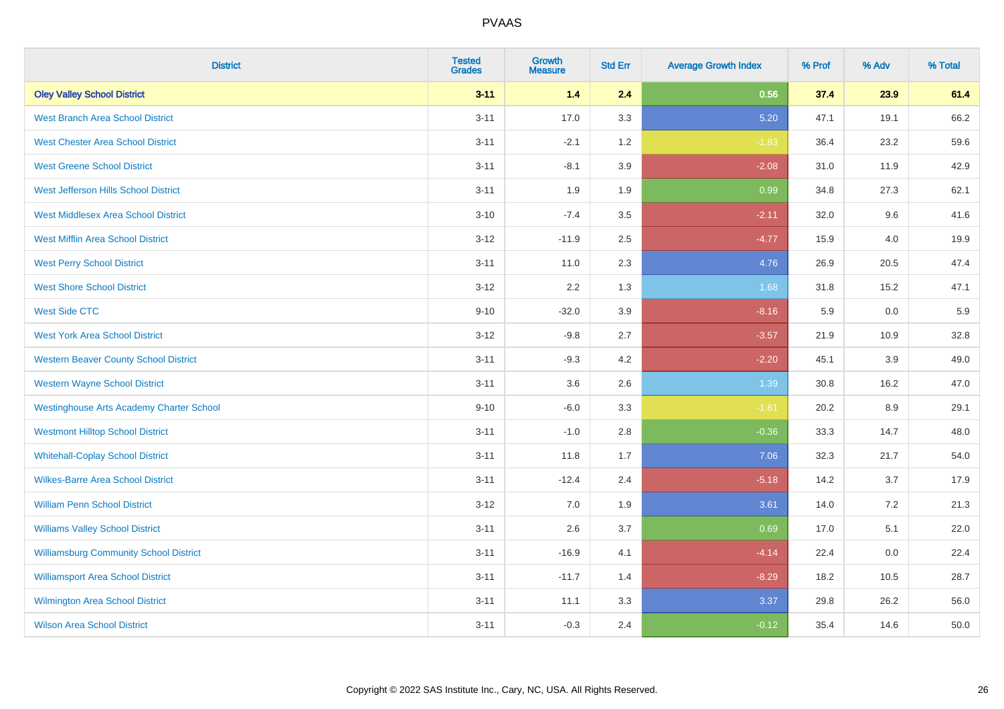| <b>District</b>                                 | <b>Tested</b><br><b>Grades</b> | <b>Growth</b><br><b>Measure</b> | <b>Std Err</b> | <b>Average Growth Index</b> | % Prof | % Adv | % Total |
|-------------------------------------------------|--------------------------------|---------------------------------|----------------|-----------------------------|--------|-------|---------|
| <b>Oley Valley School District</b>              | $3 - 11$                       | $1.4$                           | 2.4            | 0.56                        | 37.4   | 23.9  | 61.4    |
| <b>West Branch Area School District</b>         | $3 - 11$                       | 17.0                            | 3.3            | 5.20                        | 47.1   | 19.1  | 66.2    |
| <b>West Chester Area School District</b>        | $3 - 11$                       | $-2.1$                          | 1.2            | $-1.83$                     | 36.4   | 23.2  | 59.6    |
| <b>West Greene School District</b>              | $3 - 11$                       | $-8.1$                          | 3.9            | $-2.08$                     | 31.0   | 11.9  | 42.9    |
| West Jefferson Hills School District            | $3 - 11$                       | 1.9                             | 1.9            | 0.99                        | 34.8   | 27.3  | 62.1    |
| <b>West Middlesex Area School District</b>      | $3 - 10$                       | $-7.4$                          | 3.5            | $-2.11$                     | 32.0   | 9.6   | 41.6    |
| <b>West Mifflin Area School District</b>        | $3 - 12$                       | $-11.9$                         | 2.5            | $-4.77$                     | 15.9   | 4.0   | 19.9    |
| <b>West Perry School District</b>               | $3 - 11$                       | 11.0                            | 2.3            | 4.76                        | 26.9   | 20.5  | 47.4    |
| <b>West Shore School District</b>               | $3 - 12$                       | 2.2                             | 1.3            | 1.68                        | 31.8   | 15.2  | 47.1    |
| <b>West Side CTC</b>                            | $9 - 10$                       | $-32.0$                         | 3.9            | $-8.16$                     | 5.9    | 0.0   | 5.9     |
| <b>West York Area School District</b>           | $3 - 12$                       | $-9.8$                          | 2.7            | $-3.57$                     | 21.9   | 10.9  | 32.8    |
| <b>Western Beaver County School District</b>    | $3 - 11$                       | $-9.3$                          | 4.2            | $-2.20$                     | 45.1   | 3.9   | 49.0    |
| <b>Western Wayne School District</b>            | $3 - 11$                       | 3.6                             | 2.6            | 1.39                        | 30.8   | 16.2  | 47.0    |
| <b>Westinghouse Arts Academy Charter School</b> | $9 - 10$                       | $-6.0$                          | 3.3            | $-1.81$                     | 20.2   | 8.9   | 29.1    |
| <b>Westmont Hilltop School District</b>         | $3 - 11$                       | $-1.0$                          | 2.8            | $-0.36$                     | 33.3   | 14.7  | 48.0    |
| <b>Whitehall-Coplay School District</b>         | $3 - 11$                       | 11.8                            | 1.7            | 7.06                        | 32.3   | 21.7  | 54.0    |
| <b>Wilkes-Barre Area School District</b>        | $3 - 11$                       | $-12.4$                         | 2.4            | $-5.18$                     | 14.2   | 3.7   | 17.9    |
| <b>William Penn School District</b>             | $3 - 12$                       | 7.0                             | 1.9            | 3.61                        | 14.0   | 7.2   | 21.3    |
| <b>Williams Valley School District</b>          | $3 - 11$                       | 2.6                             | 3.7            | 0.69                        | 17.0   | 5.1   | 22.0    |
| <b>Williamsburg Community School District</b>   | $3 - 11$                       | $-16.9$                         | 4.1            | $-4.14$                     | 22.4   | 0.0   | 22.4    |
| <b>Williamsport Area School District</b>        | $3 - 11$                       | $-11.7$                         | 1.4            | $-8.29$                     | 18.2   | 10.5  | 28.7    |
| Wilmington Area School District                 | $3 - 11$                       | 11.1                            | 3.3            | 3.37                        | 29.8   | 26.2  | 56.0    |
| <b>Wilson Area School District</b>              | $3 - 11$                       | $-0.3$                          | 2.4            | $-0.12$                     | 35.4   | 14.6  | 50.0    |